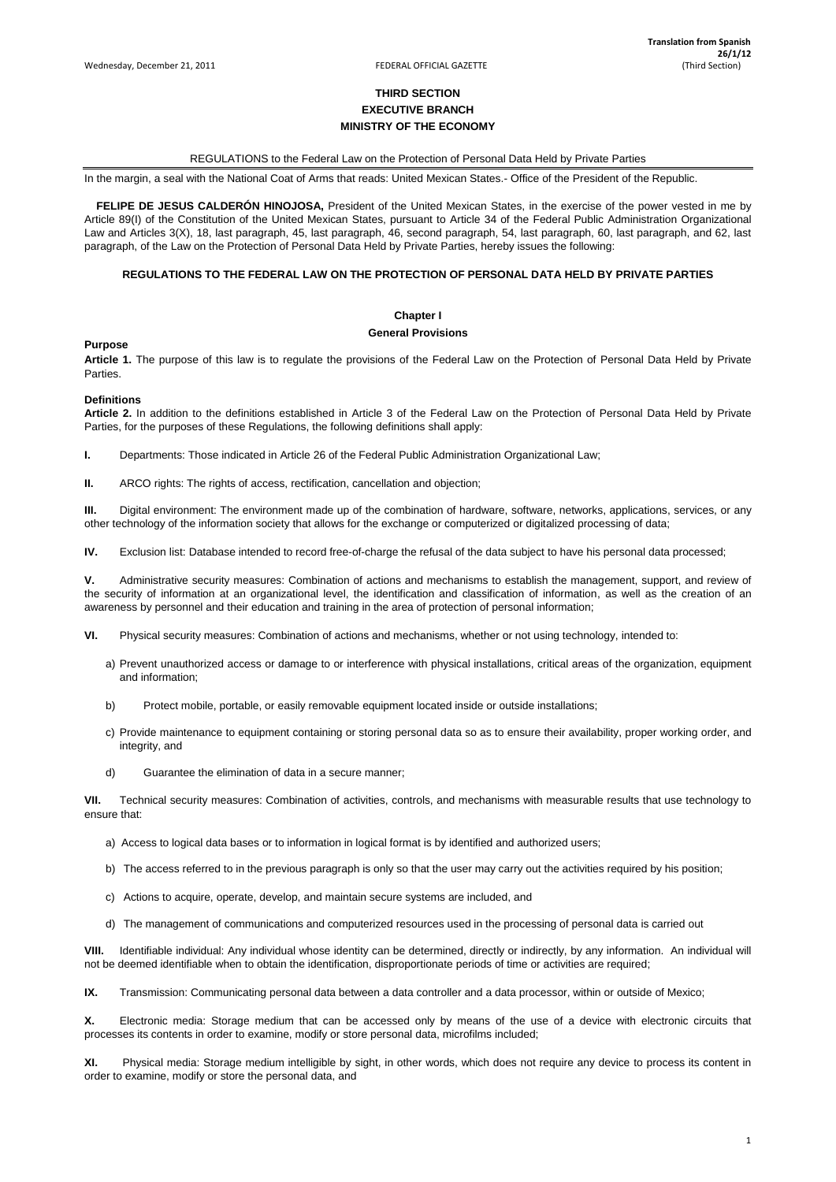1

# **THIRD SECTION EXECUTIVE BRANCH MINISTRY OF THE ECONOMY**

# REGULATIONS to the Federal Law on the Protection of Personal Data Held by Private Parties

In the margin, a seal with the National Coat of Arms that reads: United Mexican States.- Office of the President of the Republic.

 **FELIPE DE JESUS CALDERÓN HINOJOSA,** President of the United Mexican States, in the exercise of the power vested in me by Article 89(I) of the Constitution of the United Mexican States, pursuant to Article 34 of the Federal Public Administration Organizational Law and Articles 3(X), 18, last paragraph, 45, last paragraph, 46, second paragraph, 54, last paragraph, 60, last paragraph, and 62, last paragraph, of the Law on the Protection of Personal Data Held by Private Parties, hereby issues the following:

# **REGULATIONS TO THE FEDERAL LAW ON THE PROTECTION OF PERSONAL DATA HELD BY PRIVATE PARTIES**

**Chapter I** 

#### **General Provisions**

**Purpose**

**Article 1.** The purpose of this law is to regulate the provisions of the Federal Law on the Protection of Personal Data Held by Private Parties.

# **Definitions**

**Article 2.** In addition to the definitions established in Article 3 of the Federal Law on the Protection of Personal Data Held by Private Parties, for the purposes of these Regulations, the following definitions shall apply:

**I.** Departments: Those indicated in Article 26 of the Federal Public Administration Organizational Law;

**II.** ARCO rights: The rights of access, rectification, cancellation and objection;

**III.** Digital environment: The environment made up of the combination of hardware, software, networks, applications, services, or any other technology of the information society that allows for the exchange or computerized or digitalized processing of data;

**IV.** Exclusion list: Database intended to record free-of-charge the refusal of the data subject to have his personal data processed;

**V.** Administrative security measures: Combination of actions and mechanisms to establish the management, support, and review of the security of information at an organizational level, the identification and classification of information, as well as the creation of an awareness by personnel and their education and training in the area of protection of personal information;

**VI.** Physical security measures: Combination of actions and mechanisms, whether or not using technology, intended to:

- a) Prevent unauthorized access or damage to or interference with physical installations, critical areas of the organization, equipment and information;
- b) Protect mobile, portable, or easily removable equipment located inside or outside installations;
- c) Provide maintenance to equipment containing or storing personal data so as to ensure their availability, proper working order, and integrity, and
- d) Guarantee the elimination of data in a secure manner;

**VII.** Technical security measures: Combination of activities, controls, and mechanisms with measurable results that use technology to ensure that:

- a) Access to logical data bases or to information in logical format is by identified and authorized users;
- b) The access referred to in the previous paragraph is only so that the user may carry out the activities required by his position;

c) Actions to acquire, operate, develop, and maintain secure systems are included, and

d) The management of communications and computerized resources used in the processing of personal data is carried out

**VIII.** Identifiable individual: Any individual whose identity can be determined, directly or indirectly, by any information. An individual will not be deemed identifiable when to obtain the identification, disproportionate periods of time or activities are required;

**IX.** Transmission: Communicating personal data between a data controller and a data processor, within or outside of Mexico;

**X.** Electronic media: Storage medium that can be accessed only by means of the use of a device with electronic circuits that processes its contents in order to examine, modify or store personal data, microfilms included;

**XI.** Physical media: Storage medium intelligible by sight, in other words, which does not require any device to process its content in order to examine, modify or store the personal data, and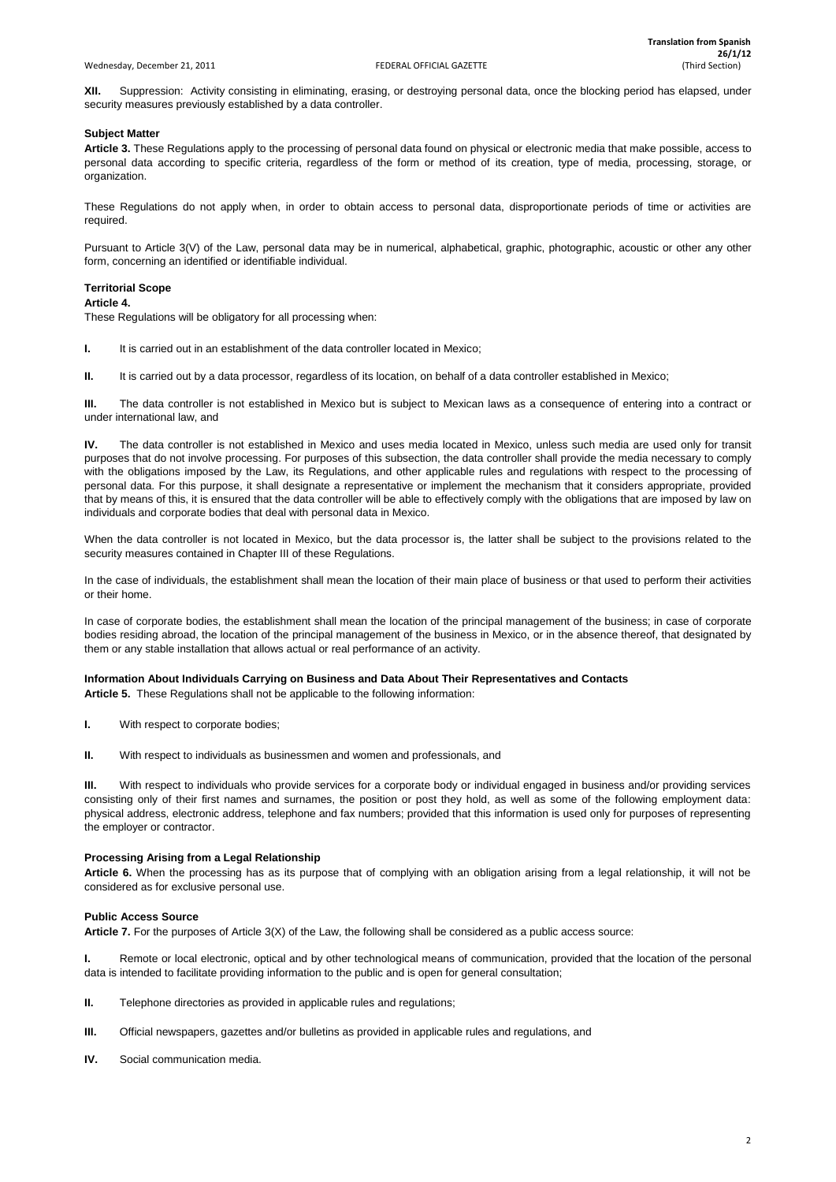**XII.** Suppression: Activity consisting in eliminating, erasing, or destroying personal data, once the blocking period has elapsed, under security measures previously established by a data controller.

# **Subject Matter**

**Article 3.** These Regulations apply to the processing of personal data found on physical or electronic media that make possible, access to personal data according to specific criteria, regardless of the form or method of its creation, type of media, processing, storage, or organization.

These Regulations do not apply when, in order to obtain access to personal data, disproportionate periods of time or activities are required.

Pursuant to Article 3(V) of the Law, personal data may be in numerical, alphabetical, graphic, photographic, acoustic or other any other form, concerning an identified or identifiable individual.

# **Territorial Scope**

# **Article 4.**

These Regulations will be obligatory for all processing when:

**I.** It is carried out in an establishment of the data controller located in Mexico;

**II.** It is carried out by a data processor, regardless of its location, on behalf of a data controller established in Mexico;

**III.** The data controller is not established in Mexico but is subject to Mexican laws as a consequence of entering into a contract or under international law, and

**IV.** The data controller is not established in Mexico and uses media located in Mexico, unless such media are used only for transit purposes that do not involve processing. For purposes of this subsection, the data controller shall provide the media necessary to comply with the obligations imposed by the Law, its Regulations, and other applicable rules and regulations with respect to the processing of personal data. For this purpose, it shall designate a representative or implement the mechanism that it considers appropriate, provided that by means of this, it is ensured that the data controller will be able to effectively comply with the obligations that are imposed by law on individuals and corporate bodies that deal with personal data in Mexico.

**I.** Remote or local electronic, optical and by other technological means of communication, provided that the location of the personal data is intended to facilitate providing information to the public and is open for general consultation;

When the data controller is not located in Mexico, but the data processor is, the latter shall be subject to the provisions related to the security measures contained in Chapter III of these Regulations.

In the case of individuals, the establishment shall mean the location of their main place of business or that used to perform their activities or their home.

In case of corporate bodies, the establishment shall mean the location of the principal management of the business; in case of corporate bodies residing abroad, the location of the principal management of the business in Mexico, or in the absence thereof, that designated by them or any stable installation that allows actual or real performance of an activity.

# **Information About Individuals Carrying on Business and Data About Their Representatives and Contacts**

**Article 5.** These Regulations shall not be applicable to the following information:

- **I.** With respect to corporate bodies;
- **II.** With respect to individuals as businessmen and women and professionals, and

**III.** With respect to individuals who provide services for a corporate body or individual engaged in business and/or providing services consisting only of their first names and surnames, the position or post they hold, as well as some of the following employment data: physical address, electronic address, telephone and fax numbers; provided that this information is used only for purposes of representing the employer or contractor.

# **Processing Arising from a Legal Relationship**

**Article 6.** When the processing has as its purpose that of complying with an obligation arising from a legal relationship, it will not be considered as for exclusive personal use.

# **Public Access Source**

**Article 7.** For the purposes of Article 3(X) of the Law, the following shall be considered as a public access source:

- **II.** Telephone directories as provided in applicable rules and regulations;
- **III.** Official newspapers, gazettes and/or bulletins as provided in applicable rules and regulations, and
- **IV.** Social communication media.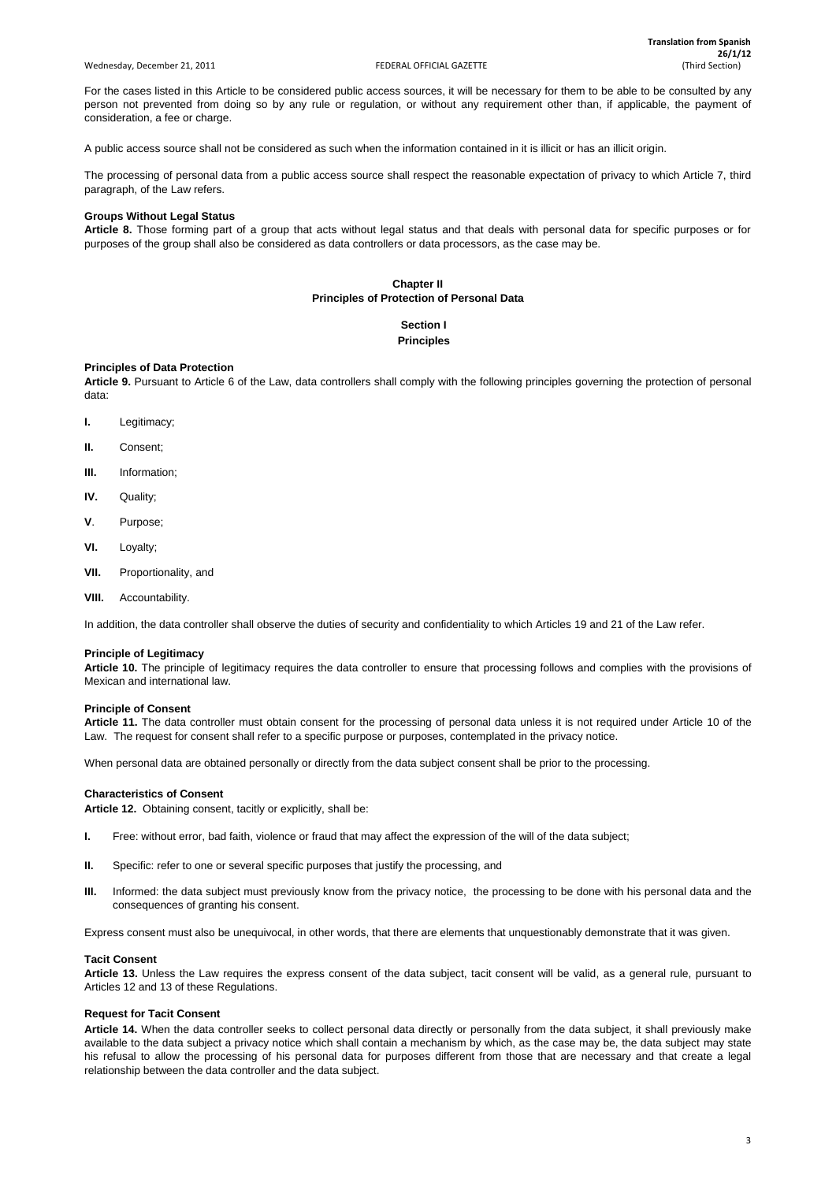#### Wednesday, December 21, 2011 **FEDERAL OFFICIAL GAZETTE** (Third Section) **FEDERAL OFFICIAL GAZETTE**

For the cases listed in this Article to be considered public access sources, it will be necessary for them to be able to be consulted by any person not prevented from doing so by any rule or regulation, or without any requirement other than, if applicable, the payment of consideration, a fee or charge.

A public access source shall not be considered as such when the information contained in it is illicit or has an illicit origin.

The processing of personal data from a public access source shall respect the reasonable expectation of privacy to which Article 7, third paragraph, of the Law refers.

# **Groups Without Legal Status**

**Article 8.** Those forming part of a group that acts without legal status and that deals with personal data for specific purposes or for purposes of the group shall also be considered as data controllers or data processors, as the case may be.

# **Chapter II Principles of Protection of Personal Data**

# **Section I Principles**

# **Principles of Data Protection**

**Article 9.** Pursuant to Article 6 of the Law, data controllers shall comply with the following principles governing the protection of personal data:

- **I.** Legitimacy;
- **II.** Consent;
- **III.** Information;
- **IV.** Quality;
- **V**. Purpose;
- **VI.** Loyalty;
- **VII.** Proportionality, and
- **VIII.** Accountability.

In addition, the data controller shall observe the duties of security and confidentiality to which Articles 19 and 21 of the Law refer.

# **Principle of Legitimacy**

**Article 10.** The principle of legitimacy requires the data controller to ensure that processing follows and complies with the provisions of Mexican and international law.

# **Principle of Consent**

**Article 11.** The data controller must obtain consent for the processing of personal data unless it is not required under Article 10 of the Law. The request for consent shall refer to a specific purpose or purposes, contemplated in the privacy notice.

When personal data are obtained personally or directly from the data subject consent shall be prior to the processing.

# **Characteristics of Consent**

**Article 12.** Obtaining consent, tacitly or explicitly, shall be:

- **I.** Free: without error, bad faith, violence or fraud that may affect the expression of the will of the data subject;
- **II.** Specific: refer to one or several specific purposes that justify the processing, and
- **III.** Informed: the data subject must previously know from the privacy notice, the processing to be done with his personal data and the
- consequences of granting his consent.

Express consent must also be unequivocal, in other words, that there are elements that unquestionably demonstrate that it was given.

#### **Tacit Consent**

**Article 13.** Unless the Law requires the express consent of the data subject, tacit consent will be valid, as a general rule, pursuant to Articles 12 and 13 of these Regulations.

#### **Request for Tacit Consent**

**Article 14.** When the data controller seeks to collect personal data directly or personally from the data subject, it shall previously make available to the data subject a privacy notice which shall contain a mechanism by which, as the case may be, the data subject may state his refusal to allow the processing of his personal data for purposes different from those that are necessary and that create a legal relationship between the data controller and the data subject.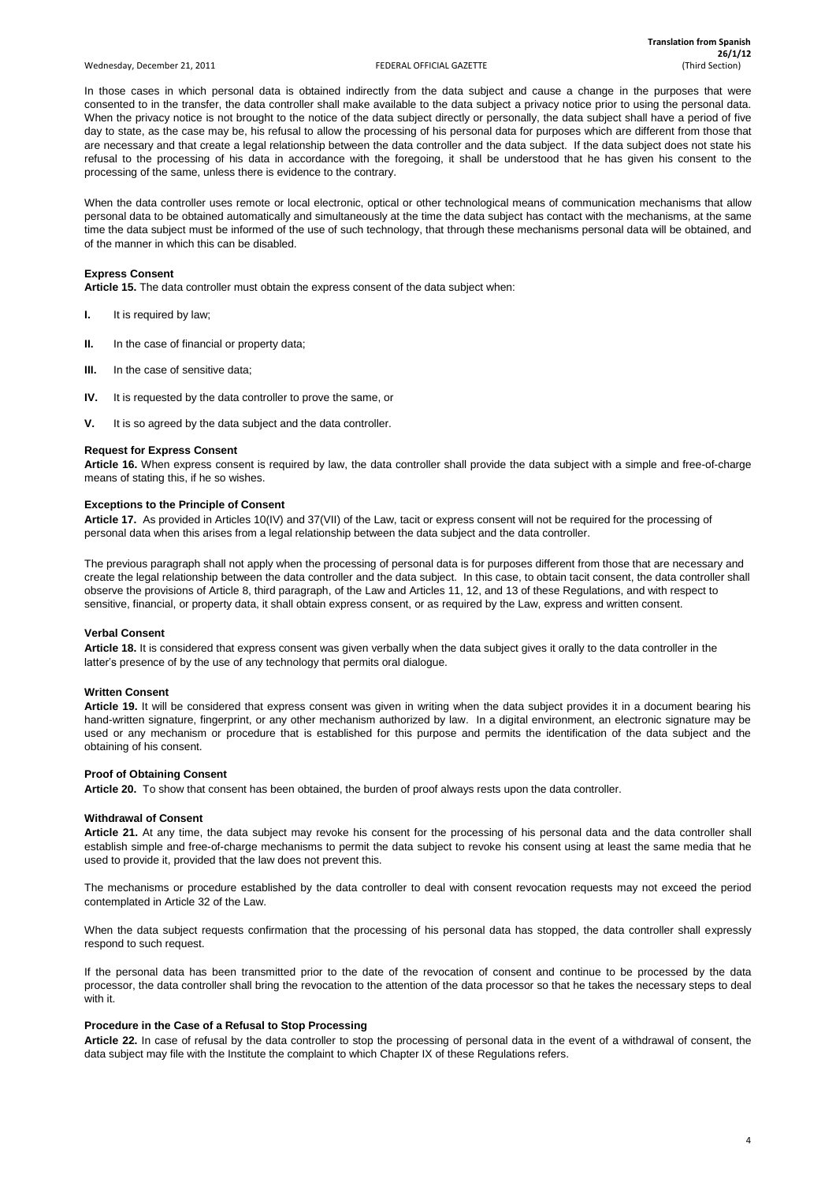#### Wednesday, December 21, 2011 **FEDERAL OFFICIAL GAZETTE** (Third Section) **FEDERAL OFFICIAL GAZETTE**

4

In those cases in which personal data is obtained indirectly from the data subject and cause a change in the purposes that were consented to in the transfer, the data controller shall make available to the data subject a privacy notice prior to using the personal data. When the privacy notice is not brought to the notice of the data subject directly or personally, the data subject shall have a period of five day to state, as the case may be, his refusal to allow the processing of his personal data for purposes which are different from those that are necessary and that create a legal relationship between the data controller and the data subject. If the data subject does not state his refusal to the processing of his data in accordance with the foregoing, it shall be understood that he has given his consent to the processing of the same, unless there is evidence to the contrary.

When the data controller uses remote or local electronic, optical or other technological means of communication mechanisms that allow personal data to be obtained automatically and simultaneously at the time the data subject has contact with the mechanisms, at the same time the data subject must be informed of the use of such technology, that through these mechanisms personal data will be obtained, and of the manner in which this can be disabled.

# **Express Consent**

**Article 15.** The data controller must obtain the express consent of the data subject when:

- **I.** It is required by law;
- **II.** In the case of financial or property data;
- **III.** In the case of sensitive data;
- **IV.** It is requested by the data controller to prove the same, or
- **V.** It is so agreed by the data subject and the data controller.

# **Request for Express Consent**

**Article 16.** When express consent is required by law, the data controller shall provide the data subject with a simple and free-of-charge means of stating this, if he so wishes.

# **Exceptions to the Principle of Consent**

**Article 17.** As provided in Articles 10(IV) and 37(VII) of the Law, tacit or express consent will not be required for the processing of personal data when this arises from a legal relationship between the data subject and the data controller.

The previous paragraph shall not apply when the processing of personal data is for purposes different from those that are necessary and create the legal relationship between the data controller and the data subject. In this case, to obtain tacit consent, the data controller shall observe the provisions of Article 8, third paragraph, of the Law and Articles 11, 12, and 13 of these Regulations, and with respect to sensitive, financial, or property data, it shall obtain express consent, or as required by the Law, express and written consent.

# **Verbal Consent**

**Article 18.** It is considered that express consent was given verbally when the data subject gives it orally to the data controller in the latter's presence of by the use of any technology that permits oral dialogue.

# **Written Consent**

**Article 19.** It will be considered that express consent was given in writing when the data subject provides it in a document bearing his hand-written signature, fingerprint, or any other mechanism authorized by law. In a digital environment, an electronic signature may be used or any mechanism or procedure that is established for this purpose and permits the identification of the data subject and the obtaining of his consent.

# **Proof of Obtaining Consent**

**Article 20.** To show that consent has been obtained, the burden of proof always rests upon the data controller.

# **Withdrawal of Consent**

**Article 21.** At any time, the data subject may revoke his consent for the processing of his personal data and the data controller shall establish simple and free-of-charge mechanisms to permit the data subject to revoke his consent using at least the same media that he used to provide it, provided that the law does not prevent this.

The mechanisms or procedure established by the data controller to deal with consent revocation requests may not exceed the period

contemplated in Article 32 of the Law.

When the data subject requests confirmation that the processing of his personal data has stopped, the data controller shall expressly respond to such request.

If the personal data has been transmitted prior to the date of the revocation of consent and continue to be processed by the data processor, the data controller shall bring the revocation to the attention of the data processor so that he takes the necessary steps to deal with it.

#### **Procedure in the Case of a Refusal to Stop Processing**

**Article 22.** In case of refusal by the data controller to stop the processing of personal data in the event of a withdrawal of consent, the data subject may file with the Institute the complaint to which Chapter IX of these Regulations refers.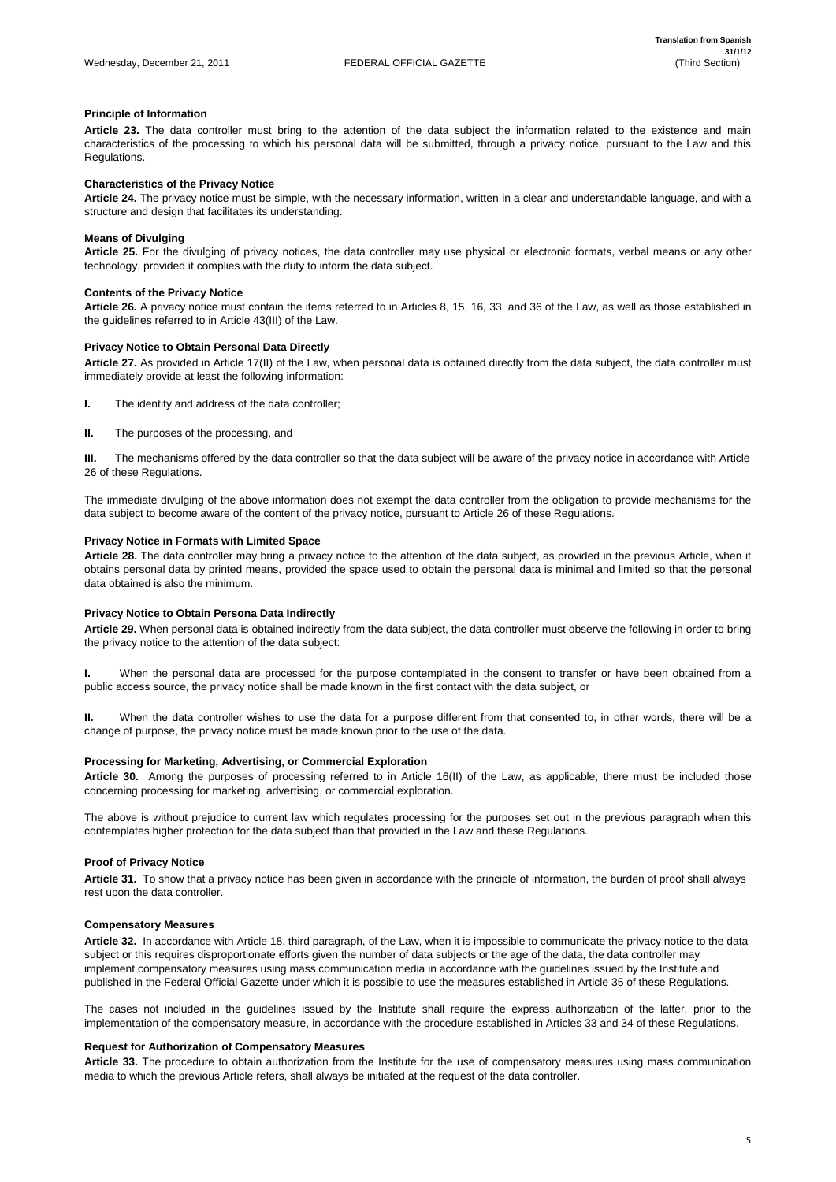# **Principle of Information**

**Article 23.** The data controller must bring to the attention of the data subject the information related to the existence and main characteristics of the processing to which his personal data will be submitted, through a privacy notice, pursuant to the Law and this Regulations.

# **Characteristics of the Privacy Notice**

**Article 24.** The privacy notice must be simple, with the necessary information, written in a clear and understandable language, and with a structure and design that facilitates its understanding.

# **Means of Divulging**

**Article 25.** For the divulging of privacy notices, the data controller may use physical or electronic formats, verbal means or any other technology, provided it complies with the duty to inform the data subject.

# **Contents of the Privacy Notice**

**Article 26.** A privacy notice must contain the items referred to in Articles 8, 15, 16, 33, and 36 of the Law, as well as those established in the guidelines referred to in Article 43(III) of the Law.

# **Privacy Notice to Obtain Personal Data Directly**

**Article 27.** As provided in Article 17(II) of the Law, when personal data is obtained directly from the data subject, the data controller must immediately provide at least the following information:

- **I.** The identity and address of the data controller;
- **II.** The purposes of the processing, and

**III.** The mechanisms offered by the data controller so that the data subject will be aware of the privacy notice in accordance with Article 26 of these Regulations.

The immediate divulging of the above information does not exempt the data controller from the obligation to provide mechanisms for the data subject to become aware of the content of the privacy notice, pursuant to Article 26 of these Regulations.

# **Privacy Notice in Formats with Limited Space**

**Article 28.** The data controller may bring a privacy notice to the attention of the data subject, as provided in the previous Article, when it obtains personal data by printed means, provided the space used to obtain the personal data is minimal and limited so that the personal data obtained is also the minimum.

# **Privacy Notice to Obtain Persona Data Indirectly**

**Article 29.** When personal data is obtained indirectly from the data subject, the data controller must observe the following in order to bring the privacy notice to the attention of the data subject:

**I.** When the personal data are processed for the purpose contemplated in the consent to transfer or have been obtained from a public access source, the privacy notice shall be made known in the first contact with the data subject, or

**II.** When the data controller wishes to use the data for a purpose different from that consented to, in other words, there will be a change of purpose, the privacy notice must be made known prior to the use of the data.

# **Processing for Marketing, Advertising, or Commercial Exploration**

**Article 30.** Among the purposes of processing referred to in Article 16(II) of the Law, as applicable, there must be included those concerning processing for marketing, advertising, or commercial exploration.

The above is without prejudice to current law which regulates processing for the purposes set out in the previous paragraph when this contemplates higher protection for the data subject than that provided in the Law and these Regulations.

# **Proof of Privacy Notice**

**Article 31.** To show that a privacy notice has been given in accordance with the principle of information, the burden of proof shall always rest upon the data controller.

# **Compensatory Measures**

**Article 32.** In accordance with Article 18, third paragraph, of the Law, when it is impossible to communicate the privacy notice to the data subject or this requires disproportionate efforts given the number of data subjects or the age of the data, the data controller may implement compensatory measures using mass communication media in accordance with the guidelines issued by the Institute and published in the Federal Official Gazette under which it is possible to use the measures established in Article 35 of these Regulations.

The cases not included in the guidelines issued by the Institute shall require the express authorization of the latter, prior to the implementation of the compensatory measure, in accordance with the procedure established in Articles 33 and 34 of these Regulations.

# **Request for Authorization of Compensatory Measures**

**Article 33.** The procedure to obtain authorization from the Institute for the use of compensatory measures using mass communication media to which the previous Article refers, shall always be initiated at the request of the data controller.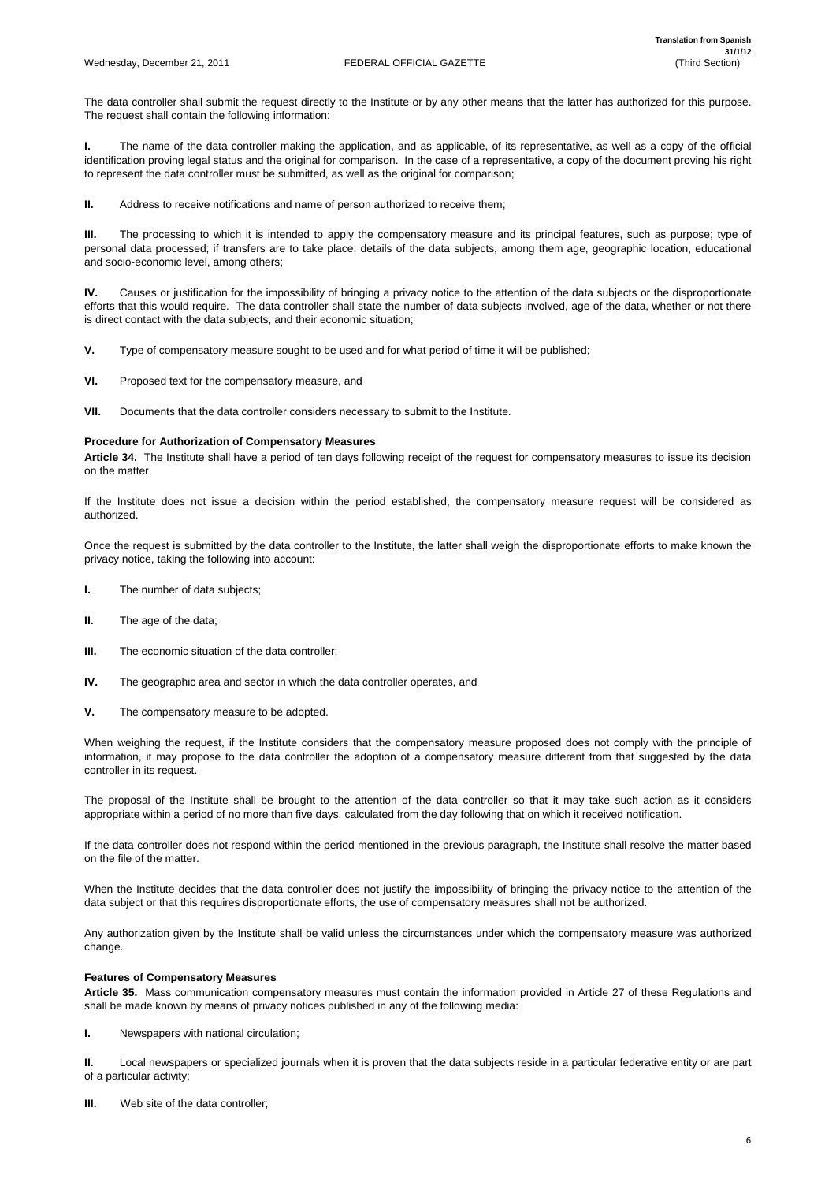The data controller shall submit the request directly to the Institute or by any other means that the latter has authorized for this purpose. The request shall contain the following information:

**I.** The name of the data controller making the application, and as applicable, of its representative, as well as a copy of the official identification proving legal status and the original for comparison. In the case of a representative, a copy of the document proving his right to represent the data controller must be submitted, as well as the original for comparison;

**II.** Address to receive notifications and name of person authorized to receive them;

**III.** The processing to which it is intended to apply the compensatory measure and its principal features, such as purpose; type of personal data processed; if transfers are to take place; details of the data subjects, among them age, geographic location, educational and socio-economic level, among others;

**IV.** Causes or justification for the impossibility of bringing a privacy notice to the attention of the data subjects or the disproportionate efforts that this would require. The data controller shall state the number of data subjects involved, age of the data, whether or not there is direct contact with the data subjects, and their economic situation;

- **V.** Type of compensatory measure sought to be used and for what period of time it will be published;
- **VI.** Proposed text for the compensatory measure, and
- **VII.** Documents that the data controller considers necessary to submit to the Institute.

# **Procedure for Authorization of Compensatory Measures**

**Article 34.** The Institute shall have a period of ten days following receipt of the request for compensatory measures to issue its decision on the matter.

If the Institute does not issue a decision within the period established, the compensatory measure request will be considered as authorized.

Once the request is submitted by the data controller to the Institute, the latter shall weigh the disproportionate efforts to make known the privacy notice, taking the following into account:

- **I.** The number of data subjects;
- **II.** The age of the data;
- **III.** The economic situation of the data controller;
- **IV.** The geographic area and sector in which the data controller operates, and
- **V.** The compensatory measure to be adopted.

When weighing the request, if the Institute considers that the compensatory measure proposed does not comply with the principle of information, it may propose to the data controller the adoption of a compensatory measure different from that suggested by the data controller in its request.

The proposal of the Institute shall be brought to the attention of the data controller so that it may take such action as it considers appropriate within a period of no more than five days, calculated from the day following that on which it received notification.

If the data controller does not respond within the period mentioned in the previous paragraph, the Institute shall resolve the matter based on the file of the matter.

When the Institute decides that the data controller does not justify the impossibility of bringing the privacy notice to the attention of the

data subject or that this requires disproportionate efforts, the use of compensatory measures shall not be authorized.

Any authorization given by the Institute shall be valid unless the circumstances under which the compensatory measure was authorized change.

# **Features of Compensatory Measures**

**Article 35.** Mass communication compensatory measures must contain the information provided in Article 27 of these Regulations and shall be made known by means of privacy notices published in any of the following media:

**I.** Newspapers with national circulation;

**II.** Local newspapers or specialized journals when it is proven that the data subjects reside in a particular federative entity or are part of a particular activity;

**III.** Web site of the data controller;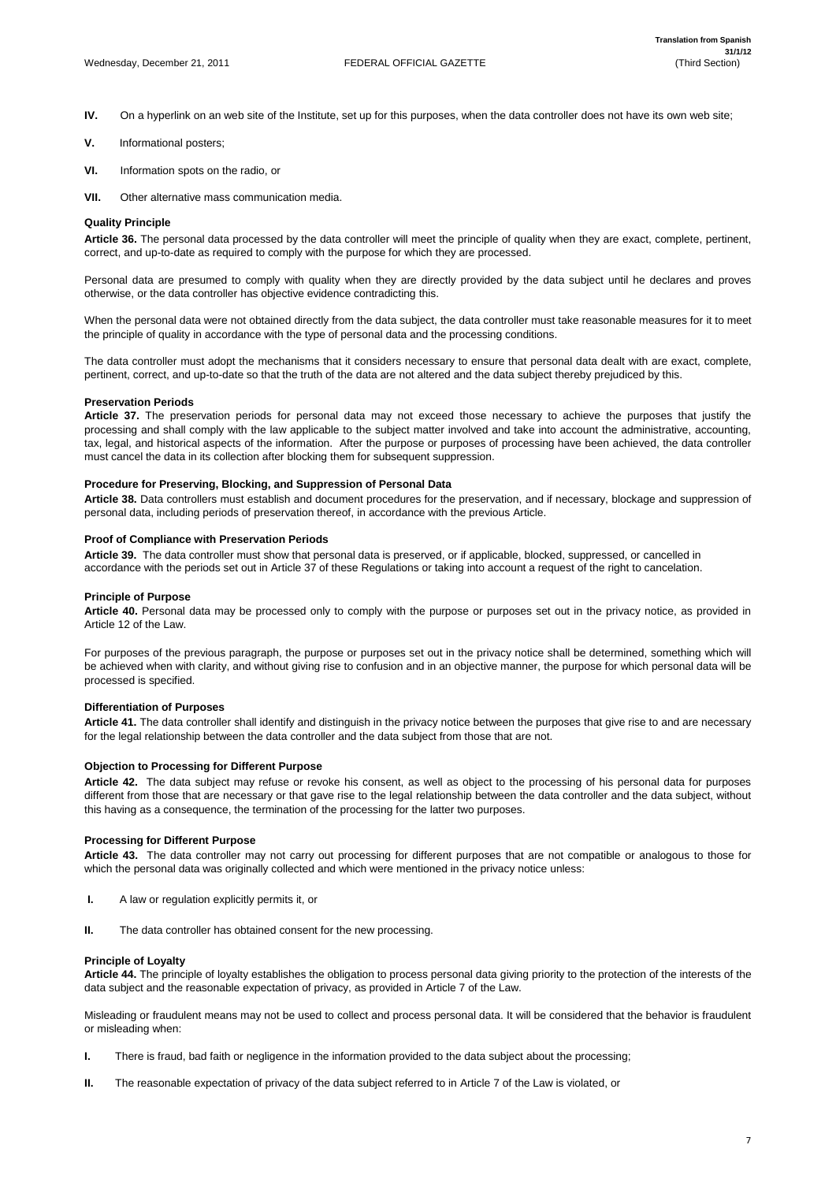- **IV.** On a hyperlink on an web site of the Institute, set up for this purposes, when the data controller does not have its own web site;
- **V.** Informational posters;
- **VI.** Information spots on the radio, or
- **VII.** Other alternative mass communication media.

# **Quality Principle**

**Article 36.** The personal data processed by the data controller will meet the principle of quality when they are exact, complete, pertinent, correct, and up-to-date as required to comply with the purpose for which they are processed.

Personal data are presumed to comply with quality when they are directly provided by the data subject until he declares and proves otherwise, or the data controller has objective evidence contradicting this.

When the personal data were not obtained directly from the data subject, the data controller must take reasonable measures for it to meet the principle of quality in accordance with the type of personal data and the processing conditions.

The data controller must adopt the mechanisms that it considers necessary to ensure that personal data dealt with are exact, complete, pertinent, correct, and up-to-date so that the truth of the data are not altered and the data subject thereby prejudiced by this.

# **Preservation Periods**

**Article 37.** The preservation periods for personal data may not exceed those necessary to achieve the purposes that justify the processing and shall comply with the law applicable to the subject matter involved and take into account the administrative, accounting, tax, legal, and historical aspects of the information. After the purpose or purposes of processing have been achieved, the data controller must cancel the data in its collection after blocking them for subsequent suppression.

# **Procedure for Preserving, Blocking, and Suppression of Personal Data**

**Article 38.** Data controllers must establish and document procedures for the preservation, and if necessary, blockage and suppression of personal data, including periods of preservation thereof, in accordance with the previous Article.

# **Proof of Compliance with Preservation Periods**

**Article 39.** The data controller must show that personal data is preserved, or if applicable, blocked, suppressed, or cancelled in accordance with the periods set out in Article 37 of these Regulations or taking into account a request of the right to cancelation.

# **Principle of Purpose**

**Article 40.** Personal data may be processed only to comply with the purpose or purposes set out in the privacy notice, as provided in Article 12 of the Law.

For purposes of the previous paragraph, the purpose or purposes set out in the privacy notice shall be determined, something which will be achieved when with clarity, and without giving rise to confusion and in an objective manner, the purpose for which personal data will be processed is specified.

# **Differentiation of Purposes**

**Article 41.** The data controller shall identify and distinguish in the privacy notice between the purposes that give rise to and are necessary for the legal relationship between the data controller and the data subject from those that are not.

# **Objection to Processing for Different Purpose**

**Article 42.** The data subject may refuse or revoke his consent, as well as object to the processing of his personal data for purposes different from those that are necessary or that gave rise to the legal relationship between the data controller and the data subject, without this having as a consequence, the termination of the processing for the latter two purposes.

# **Processing for Different Purpose**

**Article 43.** The data controller may not carry out processing for different purposes that are not compatible or analogous to those for which the personal data was originally collected and which were mentioned in the privacy notice unless:

- **I.** A law or regulation explicitly permits it, or
- **II.** The data controller has obtained consent for the new processing.

# **Principle of Loyalty**

**Article 44.** The principle of loyalty establishes the obligation to process personal data giving priority to the protection of the interests of the data subject and the reasonable expectation of privacy, as provided in Article 7 of the Law.

Misleading or fraudulent means may not be used to collect and process personal data. It will be considered that the behavior is fraudulent or misleading when:

- **I.** There is fraud, bad faith or negligence in the information provided to the data subject about the processing;
- **II.** The reasonable expectation of privacy of the data subject referred to in Article 7 of the Law is violated, or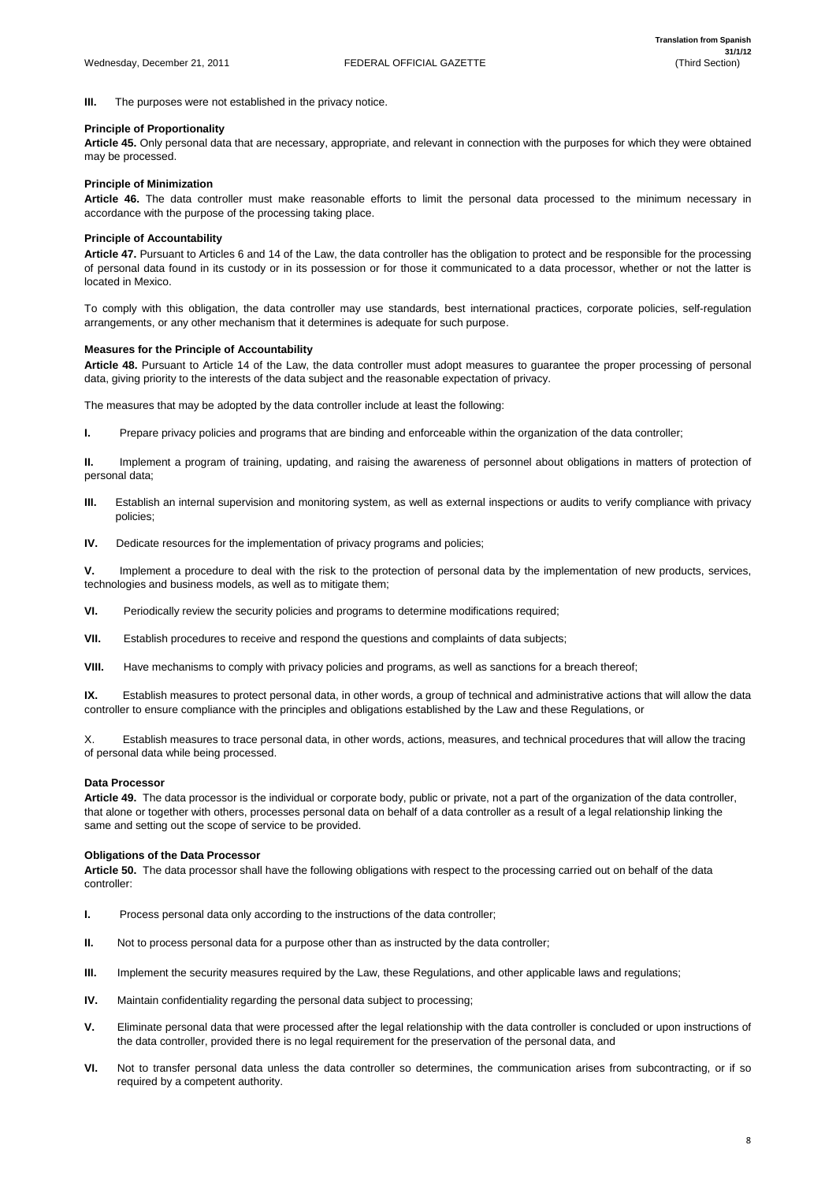**III.** The purposes were not established in the privacy notice.

# **Principle of Proportionality**

**Article 45.** Only personal data that are necessary, appropriate, and relevant in connection with the purposes for which they were obtained may be processed.

# **Principle of Minimization**

**Article 46.** The data controller must make reasonable efforts to limit the personal data processed to the minimum necessary in accordance with the purpose of the processing taking place.

# **Principle of Accountability**

**Article 47.** Pursuant to Articles 6 and 14 of the Law, the data controller has the obligation to protect and be responsible for the processing of personal data found in its custody or in its possession or for those it communicated to a data processor, whether or not the latter is located in Mexico.

To comply with this obligation, the data controller may use standards, best international practices, corporate policies, self-regulation arrangements, or any other mechanism that it determines is adequate for such purpose.

# **Measures for the Principle of Accountability**

**Article 48.** Pursuant to Article 14 of the Law, the data controller must adopt measures to guarantee the proper processing of personal data, giving priority to the interests of the data subject and the reasonable expectation of privacy.

The measures that may be adopted by the data controller include at least the following:

**I.** Prepare privacy policies and programs that are binding and enforceable within the organization of the data controller;

**II.** Implement a program of training, updating, and raising the awareness of personnel about obligations in matters of protection of personal data;

- **III.** Establish an internal supervision and monitoring system, as well as external inspections or audits to verify compliance with privacy policies;
- **IV.** Dedicate resources for the implementation of privacy programs and policies;

**V.** Implement a procedure to deal with the risk to the protection of personal data by the implementation of new products, services, technologies and business models, as well as to mitigate them;

- **I.** Process personal data only according to the instructions of the data controller;
- **II.** Not to process personal data for a purpose other than as instructed by the data controller;
- **III.** Implement the security measures required by the Law, these Regulations, and other applicable laws and regulations;
- **IV.** Maintain confidentiality regarding the personal data subject to processing;
- **V.** Eliminate personal data that were processed after the legal relationship with the data controller is concluded or upon instructions of the data controller, provided there is no legal requirement for the preservation of the personal data, and
- **VI.** Not to transfer personal data unless the data controller so determines, the communication arises from subcontracting, or if so required by a competent authority.

**VI.** Periodically review the security policies and programs to determine modifications required;

**VII.** Establish procedures to receive and respond the questions and complaints of data subjects;

**VIII.** Have mechanisms to comply with privacy policies and programs, as well as sanctions for a breach thereof;

**IX.** Establish measures to protect personal data, in other words, a group of technical and administrative actions that will allow the data controller to ensure compliance with the principles and obligations established by the Law and these Regulations, or

X. Establish measures to trace personal data, in other words, actions, measures, and technical procedures that will allow the tracing of personal data while being processed.

# **Data Processor**

**Article 49.** The data processor is the individual or corporate body, public or private, not a part of the organization of the data controller, that alone or together with others, processes personal data on behalf of a data controller as a result of a legal relationship linking the same and setting out the scope of service to be provided.

# **Obligations of the Data Processor**

**Article 50.** The data processor shall have the following obligations with respect to the processing carried out on behalf of the data controller: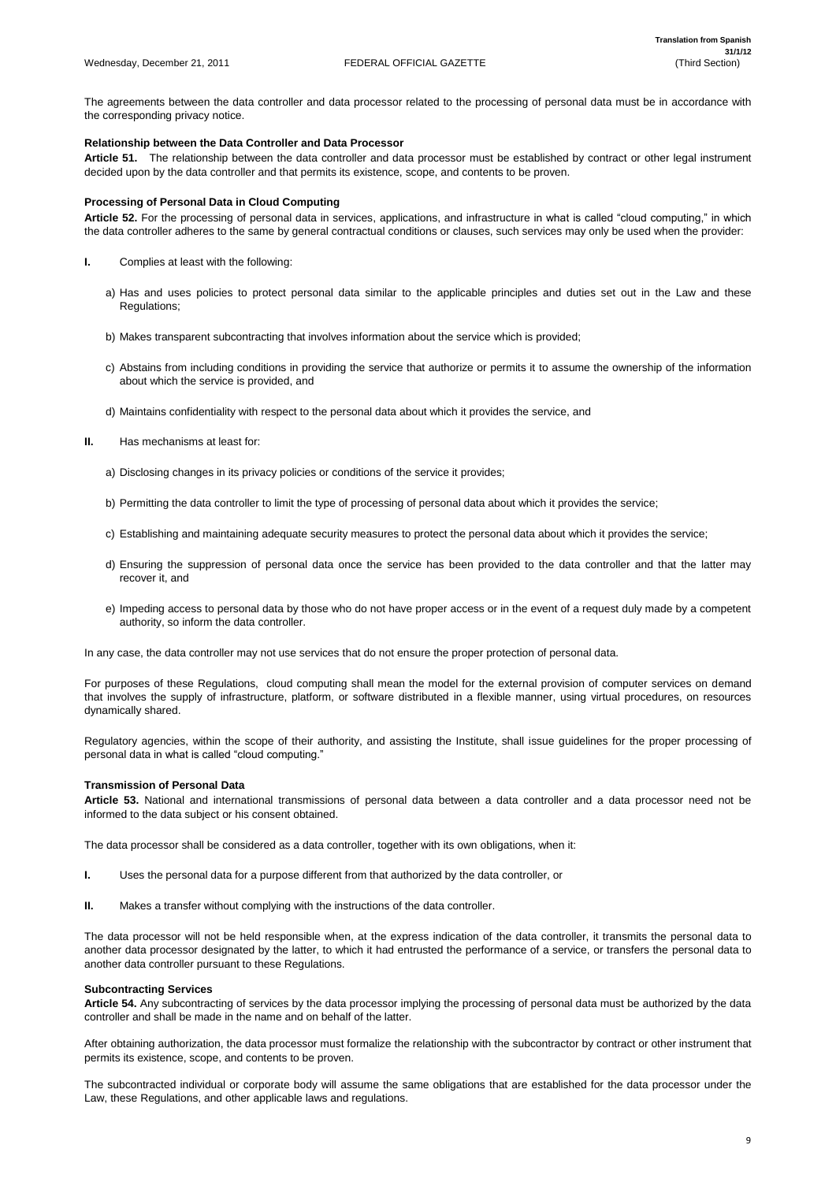The agreements between the data controller and data processor related to the processing of personal data must be in accordance with the corresponding privacy notice.

# **Relationship between the Data Controller and Data Processor**

**Article 51.** The relationship between the data controller and data processor must be established by contract or other legal instrument decided upon by the data controller and that permits its existence, scope, and contents to be proven.

# **Processing of Personal Data in Cloud Computing**

**Article 52.** For the processing of personal data in services, applications, and infrastructure in what is called "cloud computing," in which the data controller adheres to the same by general contractual conditions or clauses, such services may only be used when the provider:

- **I.** Complies at least with the following:
	- a) Has and uses policies to protect personal data similar to the applicable principles and duties set out in the Law and these Regulations;
	- b) Makes transparent subcontracting that involves information about the service which is provided;
	- c) Abstains from including conditions in providing the service that authorize or permits it to assume the ownership of the information about which the service is provided, and
	- d) Maintains confidentiality with respect to the personal data about which it provides the service, and
- **II.** Has mechanisms at least for:
	- a) Disclosing changes in its privacy policies or conditions of the service it provides;
	- b) Permitting the data controller to limit the type of processing of personal data about which it provides the service;
	- c) Establishing and maintaining adequate security measures to protect the personal data about which it provides the service;
	- d) Ensuring the suppression of personal data once the service has been provided to the data controller and that the latter may recover it, and
	- e) Impeding access to personal data by those who do not have proper access or in the event of a request duly made by a competent authority, so inform the data controller.

In any case, the data controller may not use services that do not ensure the proper protection of personal data.

For purposes of these Regulations, cloud computing shall mean the model for the external provision of computer services on demand that involves the supply of infrastructure, platform, or software distributed in a flexible manner, using virtual procedures, on resources dynamically shared.

Regulatory agencies, within the scope of their authority, and assisting the Institute, shall issue guidelines for the proper processing of personal data in what is called "cloud computing."

# **Transmission of Personal Data**

**Article 53.** National and international transmissions of personal data between a data controller and a data processor need not be informed to the data subject or his consent obtained.

The data processor shall be considered as a data controller, together with its own obligations, when it:

**I.** Uses the personal data for a purpose different from that authorized by the data controller, or

**II.** Makes a transfer without complying with the instructions of the data controller.

The data processor will not be held responsible when, at the express indication of the data controller, it transmits the personal data to another data processor designated by the latter, to which it had entrusted the performance of a service, or transfers the personal data to another data controller pursuant to these Regulations.

#### **Subcontracting Services**

**Article 54.** Any subcontracting of services by the data processor implying the processing of personal data must be authorized by the data controller and shall be made in the name and on behalf of the latter.

After obtaining authorization, the data processor must formalize the relationship with the subcontractor by contract or other instrument that permits its existence, scope, and contents to be proven.

The subcontracted individual or corporate body will assume the same obligations that are established for the data processor under the Law, these Regulations, and other applicable laws and regulations.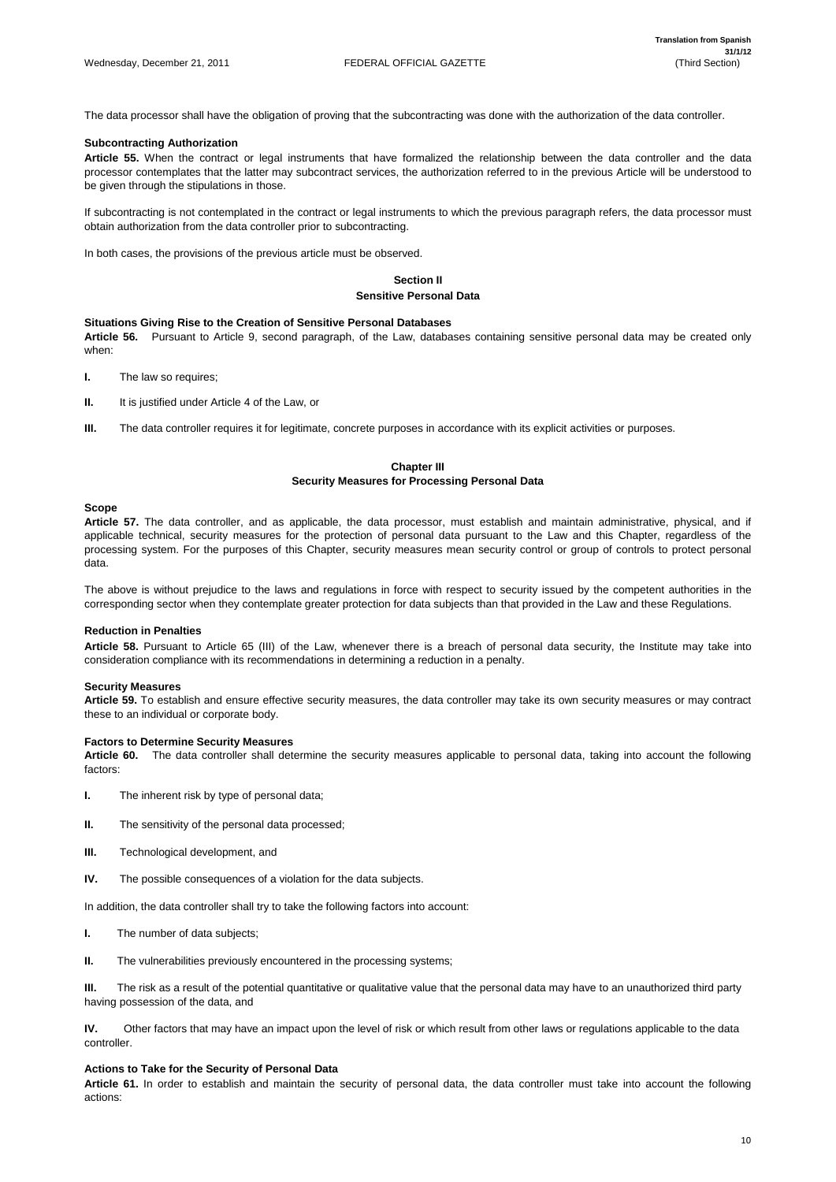The data processor shall have the obligation of proving that the subcontracting was done with the authorization of the data controller.

# **Subcontracting Authorization**

**Article 55.** When the contract or legal instruments that have formalized the relationship between the data controller and the data processor contemplates that the latter may subcontract services, the authorization referred to in the previous Article will be understood to be given through the stipulations in those.

- **I.** The law so requires;
- **II.** It is justified under Article 4 of the Law, or
- **III.** The data controller requires it for legitimate, concrete purposes in accordance with its explicit activities or purposes.

If subcontracting is not contemplated in the contract or legal instruments to which the previous paragraph refers, the data processor must obtain authorization from the data controller prior to subcontracting.

In both cases, the provisions of the previous article must be observed.

# **Section II Sensitive Personal Data**

# **Situations Giving Rise to the Creation of Sensitive Personal Databases**

**Article 56.** Pursuant to Article 9, second paragraph, of the Law, databases containing sensitive personal data may be created only when:

# **Chapter III Security Measures for Processing Personal Data**

# **Scope**

**Article 57.** The data controller, and as applicable, the data processor, must establish and maintain administrative, physical, and if applicable technical, security measures for the protection of personal data pursuant to the Law and this Chapter, regardless of the processing system. For the purposes of this Chapter, security measures mean security control or group of controls to protect personal data.

The above is without prejudice to the laws and regulations in force with respect to security issued by the competent authorities in the corresponding sector when they contemplate greater protection for data subjects than that provided in the Law and these Regulations.

# **Reduction in Penalties**

**Article 58.** Pursuant to Article 65 (III) of the Law, whenever there is a breach of personal data security, the Institute may take into consideration compliance with its recommendations in determining a reduction in a penalty.

# **Security Measures**

**Article 59.** To establish and ensure effective security measures, the data controller may take its own security measures or may contract these to an individual or corporate body.

# **Factors to Determine Security Measures**

**Article 60.** The data controller shall determine the security measures applicable to personal data, taking into account the following factors:

- **I.** The inherent risk by type of personal data;
- **II.** The sensitivity of the personal data processed;
- **III.** Technological development, and
- **IV.** The possible consequences of a violation for the data subjects.

In addition, the data controller shall try to take the following factors into account:

**I.** The number of data subjects;

**II.** The vulnerabilities previously encountered in the processing systems;

**III.** The risk as a result of the potential quantitative or qualitative value that the personal data may have to an unauthorized third party having possession of the data, and

**IV.** Other factors that may have an impact upon the level of risk or which result from other laws or regulations applicable to the data controller.

# **Actions to Take for the Security of Personal Data**

**Article 61.** In order to establish and maintain the security of personal data, the data controller must take into account the following actions: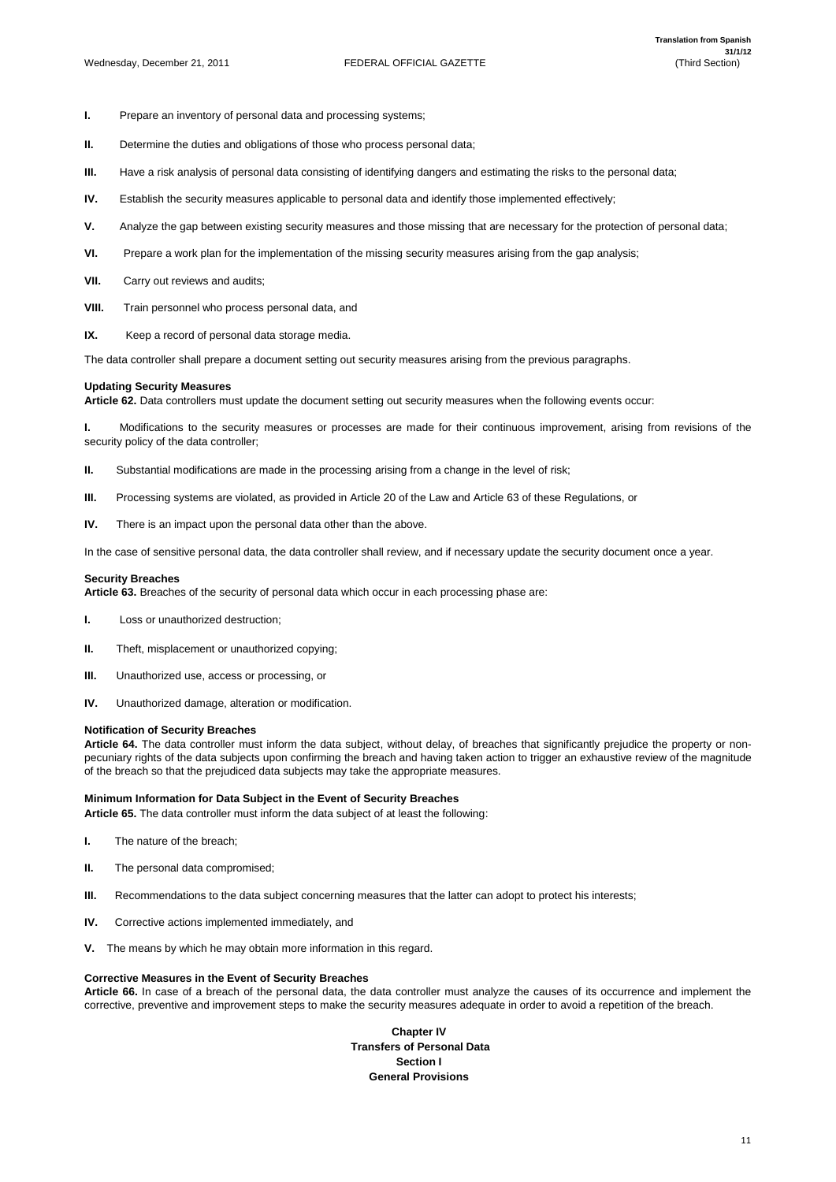- **I.** Prepare an inventory of personal data and processing systems;
- **II.** Determine the duties and obligations of those who process personal data;
- **III.** Have a risk analysis of personal data consisting of identifying dangers and estimating the risks to the personal data;
- **IV.** Establish the security measures applicable to personal data and identify those implemented effectively;
- **V.** Analyze the gap between existing security measures and those missing that are necessary for the protection of personal data;
- **VI.** Prepare a work plan for the implementation of the missing security measures arising from the gap analysis;
- **VII.** Carry out reviews and audits:
- **VIII.** Train personnel who process personal data, and
- **IX.** Keep a record of personal data storage media.

The data controller shall prepare a document setting out security measures arising from the previous paragraphs.

# **Updating Security Measures**

**Article 62.** Data controllers must update the document setting out security measures when the following events occur:

**I.** Modifications to the security measures or processes are made for their continuous improvement, arising from revisions of the security policy of the data controller;

- **II.** Substantial modifications are made in the processing arising from a change in the level of risk;
- **III.** Processing systems are violated, as provided in Article 20 of the Law and Article 63 of these Regulations, or
- **IV.** There is an impact upon the personal data other than the above.

In the case of sensitive personal data, the data controller shall review, and if necessary update the security document once a year.

# **Security Breaches**

**Article 63.** Breaches of the security of personal data which occur in each processing phase are:

- **I.** Loss or unauthorized destruction;
- **II.** Theft, misplacement or unauthorized copying;
- **III.** Unauthorized use, access or processing, or
- **IV.** Unauthorized damage, alteration or modification.

# **Notification of Security Breaches**

**Article 64.** The data controller must inform the data subject, without delay, of breaches that significantly prejudice the property or nonpecuniary rights of the data subjects upon confirming the breach and having taken action to trigger an exhaustive review of the magnitude of the breach so that the prejudiced data subjects may take the appropriate measures.

# **Minimum Information for Data Subject in the Event of Security Breaches**

**Article 65.** The data controller must inform the data subject of at least the following:

- **I.** The nature of the breach;
- **II.** The personal data compromised;

**III.** Recommendations to the data subject concerning measures that the latter can adopt to protect his interests;

- **IV.** Corrective actions implemented immediately, and
- **V.** The means by which he may obtain more information in this regard.

# **Corrective Measures in the Event of Security Breaches**

**Article 66.** In case of a breach of the personal data, the data controller must analyze the causes of its occurrence and implement the corrective, preventive and improvement steps to make the security measures adequate in order to avoid a repetition of the breach.

> **Chapter IV Transfers of Personal Data Section I General Provisions**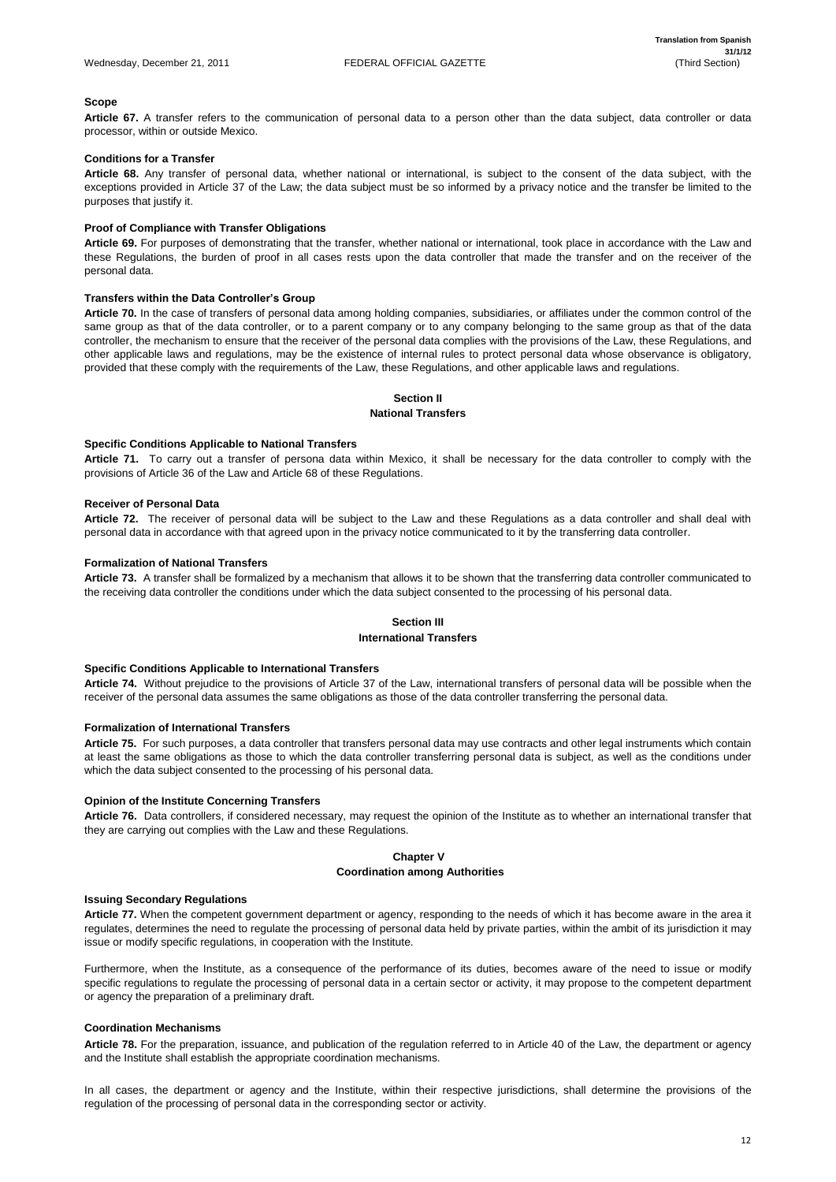# **Scope**

**Article 67.** A transfer refers to the communication of personal data to a person other than the data subject, data controller or data processor, within or outside Mexico.

# **Conditions for a Transfer**

**Article 68.** Any transfer of personal data, whether national or international, is subject to the consent of the data subject, with the exceptions provided in Article 37 of the Law; the data subject must be so informed by a privacy notice and the transfer be limited to the purposes that justify it.

# **Proof of Compliance with Transfer Obligations**

**Article 69.** For purposes of demonstrating that the transfer, whether national or international, took place in accordance with the Law and these Regulations, the burden of proof in all cases rests upon the data controller that made the transfer and on the receiver of the personal data.

# **Transfers within the Data Controller's Group**

**Article 70.** In the case of transfers of personal data among holding companies, subsidiaries, or affiliates under the common control of the same group as that of the data controller, or to a parent company or to any company belonging to the same group as that of the data controller, the mechanism to ensure that the receiver of the personal data complies with the provisions of the Law, these Regulations, and other applicable laws and regulations, may be the existence of internal rules to protect personal data whose observance is obligatory, provided that these comply with the requirements of the Law, these Regulations, and other applicable laws and regulations.

# **Section II**

# **National Transfers**

# **Specific Conditions Applicable to National Transfers**

**Article 71.** To carry out a transfer of persona data within Mexico, it shall be necessary for the data controller to comply with the provisions of Article 36 of the Law and Article 68 of these Regulations.

# **Receiver of Personal Data**

**Article 72.** The receiver of personal data will be subject to the Law and these Regulations as a data controller and shall deal with personal data in accordance with that agreed upon in the privacy notice communicated to it by the transferring data controller.

# **Formalization of National Transfers**

**Article 73.** A transfer shall be formalized by a mechanism that allows it to be shown that the transferring data controller communicated to the receiving data controller the conditions under which the data subject consented to the processing of his personal data.

# **Section III**

# **International Transfers**

# **Specific Conditions Applicable to International Transfers**

**Article 74.** Without prejudice to the provisions of Article 37 of the Law, international transfers of personal data will be possible when the receiver of the personal data assumes the same obligations as those of the data controller transferring the personal data.

# **Formalization of International Transfers**

**Article 75.** For such purposes, a data controller that transfers personal data may use contracts and other legal instruments which contain at least the same obligations as those to which the data controller transferring personal data is subject, as well as the conditions under which the data subject consented to the processing of his personal data.

# **Opinion of the Institute Concerning Transfers**

**Article 76.** Data controllers, if considered necessary, may request the opinion of the Institute as to whether an international transfer that they are carrying out complies with the Law and these Regulations.

# **Chapter V Coordination among Authorities**

# **Issuing Secondary Regulations**

**Article 77.** When the competent government department or agency, responding to the needs of which it has become aware in the area it regulates, determines the need to regulate the processing of personal data held by private parties, within the ambit of its jurisdiction it may issue or modify specific regulations, in cooperation with the Institute.

Furthermore, when the Institute, as a consequence of the performance of its duties, becomes aware of the need to issue or modify specific regulations to regulate the processing of personal data in a certain sector or activity, it may propose to the competent department or agency the preparation of a preliminary draft.

#### **Coordination Mechanisms**

**Article 78.** For the preparation, issuance, and publication of the regulation referred to in Article 40 of the Law, the department or agency and the Institute shall establish the appropriate coordination mechanisms.

In all cases, the department or agency and the Institute, within their respective jurisdictions, shall determine the provisions of the regulation of the processing of personal data in the corresponding sector or activity.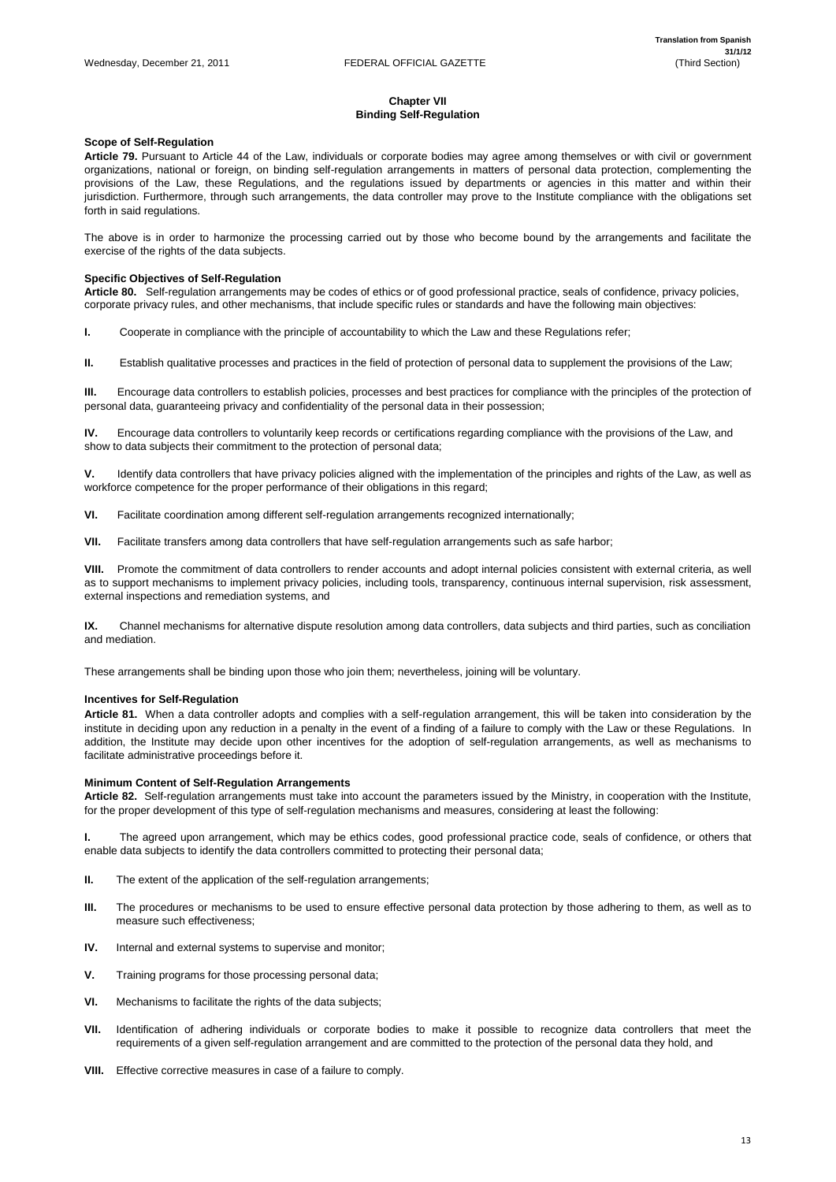# **Chapter VII Binding Self-Regulation**

# **Scope of Self-Regulation**

**Article 79.** Pursuant to Article 44 of the Law, individuals or corporate bodies may agree among themselves or with civil or government organizations, national or foreign, on binding self-regulation arrangements in matters of personal data protection, complementing the provisions of the Law, these Regulations, and the regulations issued by departments or agencies in this matter and within their jurisdiction. Furthermore, through such arrangements, the data controller may prove to the Institute compliance with the obligations set forth in said regulations.

The above is in order to harmonize the processing carried out by those who become bound by the arrangements and facilitate the exercise of the rights of the data subjects.

# **Specific Objectives of Self-Regulation**

**Article 80.** Self-regulation arrangements may be codes of ethics or of good professional practice, seals of confidence, privacy policies, corporate privacy rules, and other mechanisms, that include specific rules or standards and have the following main objectives:

**I.** Cooperate in compliance with the principle of accountability to which the Law and these Regulations refer;

**II.** Establish qualitative processes and practices in the field of protection of personal data to supplement the provisions of the Law;

**III.** Encourage data controllers to establish policies, processes and best practices for compliance with the principles of the protection of personal data, guaranteeing privacy and confidentiality of the personal data in their possession;

**IV.** Encourage data controllers to voluntarily keep records or certifications regarding compliance with the provisions of the Law, and show to data subjects their commitment to the protection of personal data;

- **III.** The procedures or mechanisms to be used to ensure effective personal data protection by those adhering to them, as well as to measure such effectiveness;
- **IV.** Internal and external systems to supervise and monitor;
- **V.** Training programs for those processing personal data;
- **VI.** Mechanisms to facilitate the rights of the data subjects;
- **VII.** Identification of adhering individuals or corporate bodies to make it possible to recognize data controllers that meet the requirements of a given self-regulation arrangement and are committed to the protection of the personal data they hold, and
- **VIII.** Effective corrective measures in case of a failure to comply.

**V.** Identify data controllers that have privacy policies aligned with the implementation of the principles and rights of the Law, as well as workforce competence for the proper performance of their obligations in this regard;

**VI.** Facilitate coordination among different self-regulation arrangements recognized internationally;

**VII.** Facilitate transfers among data controllers that have self-regulation arrangements such as safe harbor;

**VIII.** Promote the commitment of data controllers to render accounts and adopt internal policies consistent with external criteria, as well as to support mechanisms to implement privacy policies, including tools, transparency, continuous internal supervision, risk assessment, external inspections and remediation systems, and

**IX.** Channel mechanisms for alternative dispute resolution among data controllers, data subjects and third parties, such as conciliation and mediation.

These arrangements shall be binding upon those who join them; nevertheless, joining will be voluntary.

# **Incentives for Self-Regulation**

**Article 81.** When a data controller adopts and complies with a self-regulation arrangement, this will be taken into consideration by the institute in deciding upon any reduction in a penalty in the event of a finding of a failure to comply with the Law or these Regulations. In addition, the Institute may decide upon other incentives for the adoption of self-regulation arrangements, as well as mechanisms to facilitate administrative proceedings before it.

# **Minimum Content of Self-Regulation Arrangements**

**Article 82.** Self-regulation arrangements must take into account the parameters issued by the Ministry, in cooperation with the Institute, for the proper development of this type of self-regulation mechanisms and measures, considering at least the following:

**I.** The agreed upon arrangement, which may be ethics codes, good professional practice code, seals of confidence, or others that enable data subjects to identify the data controllers committed to protecting their personal data;

**II.** The extent of the application of the self-regulation arrangements;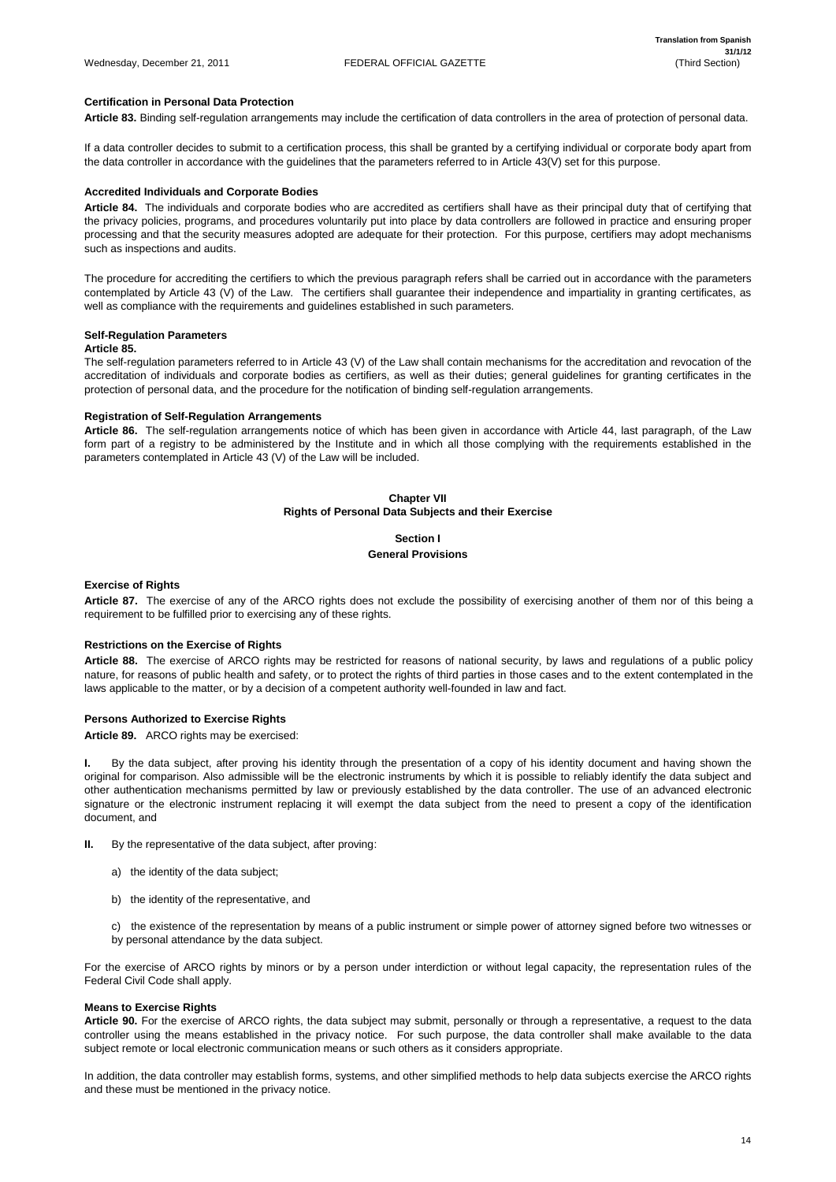# **Certification in Personal Data Protection**

**Article 83.** Binding self-regulation arrangements may include the certification of data controllers in the area of protection of personal data.

If a data controller decides to submit to a certification process, this shall be granted by a certifying individual or corporate body apart from the data controller in accordance with the guidelines that the parameters referred to in Article 43(V) set for this purpose.

# **Accredited Individuals and Corporate Bodies**

**Article 84.** The individuals and corporate bodies who are accredited as certifiers shall have as their principal duty that of certifying that the privacy policies, programs, and procedures voluntarily put into place by data controllers are followed in practice and ensuring proper processing and that the security measures adopted are adequate for their protection. For this purpose, certifiers may adopt mechanisms such as inspections and audits.

The procedure for accrediting the certifiers to which the previous paragraph refers shall be carried out in accordance with the parameters contemplated by Article 43 (V) of the Law. The certifiers shall guarantee their independence and impartiality in granting certificates, as well as compliance with the requirements and guidelines established in such parameters.

# **Self-Regulation Parameters**

# **Article 85.**

The self-regulation parameters referred to in Article 43 (V) of the Law shall contain mechanisms for the accreditation and revocation of the accreditation of individuals and corporate bodies as certifiers, as well as their duties; general guidelines for granting certificates in the protection of personal data, and the procedure for the notification of binding self-regulation arrangements.

# **Registration of Self-Regulation Arrangements**

**Article 86.** The self-regulation arrangements notice of which has been given in accordance with Article 44, last paragraph, of the Law form part of a registry to be administered by the Institute and in which all those complying with the requirements established in the parameters contemplated in Article 43 (V) of the Law will be included.

# **Chapter VII Rights of Personal Data Subjects and their Exercise**

# **Section I**

# **General Provisions**

# **Exercise of Rights**

**Article 87.** The exercise of any of the ARCO rights does not exclude the possibility of exercising another of them nor of this being a requirement to be fulfilled prior to exercising any of these rights.

# **Restrictions on the Exercise of Rights**

**Article 88.** The exercise of ARCO rights may be restricted for reasons of national security, by laws and regulations of a public policy nature, for reasons of public health and safety, or to protect the rights of third parties in those cases and to the extent contemplated in the laws applicable to the matter, or by a decision of a competent authority well-founded in law and fact.

# **Persons Authorized to Exercise Rights**

**Article 89.** ARCO rights may be exercised:

**I.** By the data subject, after proving his identity through the presentation of a copy of his identity document and having shown the original for comparison. Also admissible will be the electronic instruments by which it is possible to reliably identify the data subject and other authentication mechanisms permitted by law or previously established by the data controller. The use of an advanced electronic signature or the electronic instrument replacing it will exempt the data subject from the need to present a copy of the identification document, and

**II.** By the representative of the data subject, after proving:

a) the identity of the data subject;

b) the identity of the representative, and

c) the existence of the representation by means of a public instrument or simple power of attorney signed before two witnesses or by personal attendance by the data subject.

For the exercise of ARCO rights by minors or by a person under interdiction or without legal capacity, the representation rules of the Federal Civil Code shall apply.

#### **Means to Exercise Rights**

**Article 90.** For the exercise of ARCO rights, the data subject may submit, personally or through a representative, a request to the data controller using the means established in the privacy notice. For such purpose, the data controller shall make available to the data subject remote or local electronic communication means or such others as it considers appropriate.

In addition, the data controller may establish forms, systems, and other simplified methods to help data subjects exercise the ARCO rights and these must be mentioned in the privacy notice.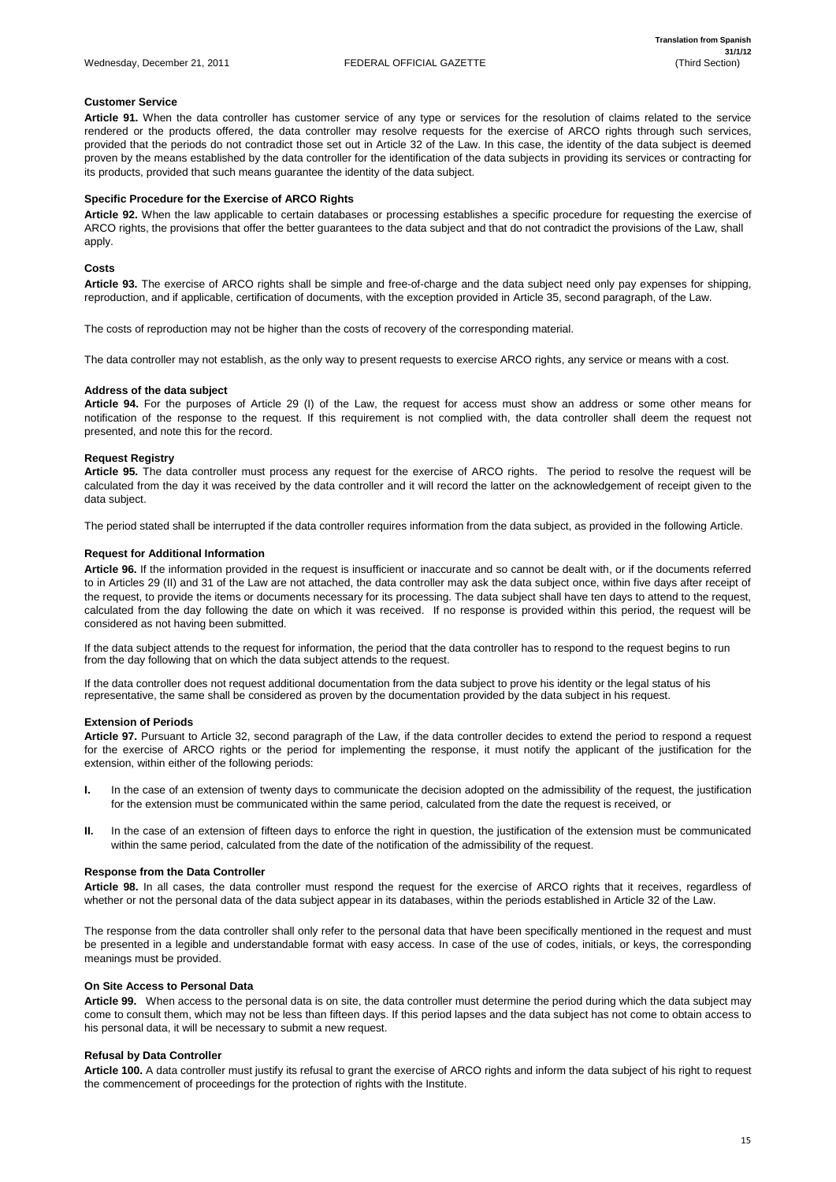# **Customer Service**

**Article 91.** When the data controller has customer service of any type or services for the resolution of claims related to the service rendered or the products offered, the data controller may resolve requests for the exercise of ARCO rights through such services, provided that the periods do not contradict those set out in Article 32 of the Law. In this case, the identity of the data subject is deemed proven by the means established by the data controller for the identification of the data subjects in providing its services or contracting for its products, provided that such means guarantee the identity of the data subject.

# **Specific Procedure for the Exercise of ARCO Rights**

**Article 92.** When the law applicable to certain databases or processing establishes a specific procedure for requesting the exercise of ARCO rights, the provisions that offer the better guarantees to the data subject and that do not contradict the provisions of the Law, shall apply.

# **Costs**

**Article 93.** The exercise of ARCO rights shall be simple and free-of-charge and the data subject need only pay expenses for shipping, reproduction, and if applicable, certification of documents, with the exception provided in Article 35, second paragraph, of the Law.

The costs of reproduction may not be higher than the costs of recovery of the corresponding material.

The data controller may not establish, as the only way to present requests to exercise ARCO rights, any service or means with a cost.

# **Address of the data subject**

**Article 94.** For the purposes of Article 29 (I) of the Law, the request for access must show an address or some other means for notification of the response to the request. If this requirement is not complied with, the data controller shall deem the request not presented, and note this for the record.

# **Request Registry**

**Article 95.** The data controller must process any request for the exercise of ARCO rights. The period to resolve the request will be calculated from the day it was received by the data controller and it will record the latter on the acknowledgement of receipt given to the data subject.

- **I.** In the case of an extension of twenty days to communicate the decision adopted on the admissibility of the request, the justification for the extension must be communicated within the same period, calculated from the date the request is received, or
- **II.** In the case of an extension of fifteen days to enforce the right in question, the justification of the extension must be communicated within the same period, calculated from the date of the notification of the admissibility of the request.

The period stated shall be interrupted if the data controller requires information from the data subject, as provided in the following Article.

# **Request for Additional Information**

**Article 96.** If the information provided in the request is insufficient or inaccurate and so cannot be dealt with, or if the documents referred to in Articles 29 (II) and 31 of the Law are not attached, the data controller may ask the data subject once, within five days after receipt of the request, to provide the items or documents necessary for its processing. The data subject shall have ten days to attend to the request, calculated from the day following the date on which it was received. If no response is provided within this period, the request will be considered as not having been submitted.

If the data subject attends to the request for information, the period that the data controller has to respond to the request begins to run from the day following that on which the data subject attends to the request.

If the data controller does not request additional documentation from the data subject to prove his identity or the legal status of his representative, the same shall be considered as proven by the documentation provided by the data subject in his request.

# **Extension of Periods**

**Article 97.** Pursuant to Article 32, second paragraph of the Law, if the data controller decides to extend the period to respond a request for the exercise of ARCO rights or the period for implementing the response, it must notify the applicant of the justification for the extension, within either of the following periods:

# **Response from the Data Controller**

**Article 98.** In all cases, the data controller must respond the request for the exercise of ARCO rights that it receives, regardless of

whether or not the personal data of the data subject appear in its databases, within the periods established in Article 32 of the Law.

The response from the data controller shall only refer to the personal data that have been specifically mentioned in the request and must be presented in a legible and understandable format with easy access. In case of the use of codes, initials, or keys, the corresponding meanings must be provided.

#### **On Site Access to Personal Data**

**Article 99.** When access to the personal data is on site, the data controller must determine the period during which the data subject may come to consult them, which may not be less than fifteen days. If this period lapses and the data subject has not come to obtain access to his personal data, it will be necessary to submit a new request.

#### **Refusal by Data Controller**

**Article 100.** A data controller must justify its refusal to grant the exercise of ARCO rights and inform the data subject of his right to request the commencement of proceedings for the protection of rights with the Institute.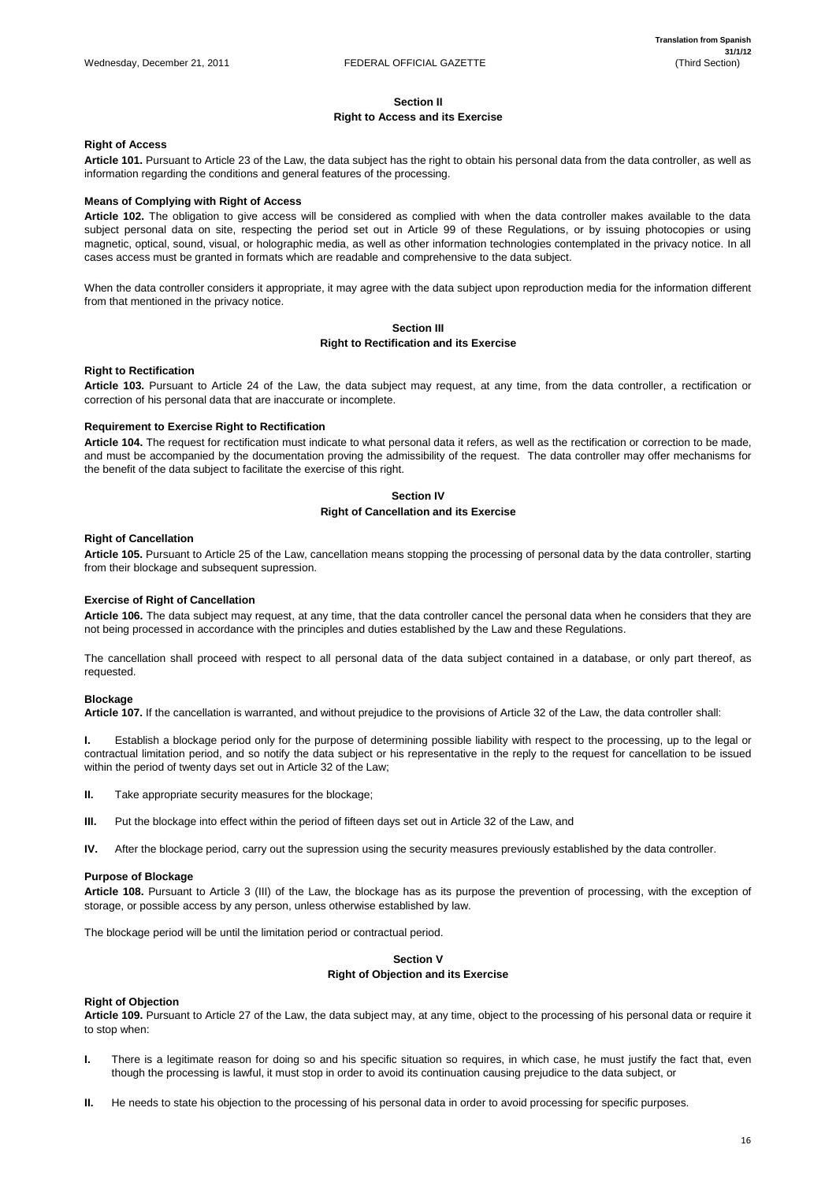# **Section II**

# **Right to Access and its Exercise**

# **Right of Access**

**Article 101.** Pursuant to Article 23 of the Law, the data subject has the right to obtain his personal data from the data controller, as well as information regarding the conditions and general features of the processing.

# **Means of Complying with Right of Access**

**Article 102.** The obligation to give access will be considered as complied with when the data controller makes available to the data subject personal data on site, respecting the period set out in Article 99 of these Regulations, or by issuing photocopies or using magnetic, optical, sound, visual, or holographic media, as well as other information technologies contemplated in the privacy notice. In all cases access must be granted in formats which are readable and comprehensive to the data subject.

When the data controller considers it appropriate, it may agree with the data subject upon reproduction media for the information different from that mentioned in the privacy notice.

# **Section III Right to Rectification and its Exercise**

# **Right to Rectification**

**Article 103.** Pursuant to Article 24 of the Law, the data subject may request, at any time, from the data controller, a rectification or correction of his personal data that are inaccurate or incomplete.

# **Requirement to Exercise Right to Rectification**

**Article 104.** The request for rectification must indicate to what personal data it refers, as well as the rectification or correction to be made, and must be accompanied by the documentation proving the admissibility of the request. The data controller may offer mechanisms for the benefit of the data subject to facilitate the exercise of this right.

# **Section IV**

# **Right of Cancellation and its Exercise**

# **Right of Cancellation**

**Article 105.** Pursuant to Article 25 of the Law, cancellation means stopping the processing of personal data by the data controller, starting from their blockage and subsequent supression.

# **Exercise of Right of Cancellation**

**Article 106.** The data subject may request, at any time, that the data controller cancel the personal data when he considers that they are not being processed in accordance with the principles and duties established by the Law and these Regulations.

The cancellation shall proceed with respect to all personal data of the data subject contained in a database, or only part thereof, as requested.

# **Blockage**

**Article 107.** If the cancellation is warranted, and without prejudice to the provisions of Article 32 of the Law, the data controller shall:

**I.** Establish a blockage period only for the purpose of determining possible liability with respect to the processing, up to the legal or contractual limitation period, and so notify the data subject or his representative in the reply to the request for cancellation to be issued within the period of twenty days set out in Article 32 of the Law;

- **II.** Take appropriate security measures for the blockage;
- **III.** Put the blockage into effect within the period of fifteen days set out in Article 32 of the Law, and

**IV.** After the blockage period, carry out the supression using the security measures previously established by the data controller.

# **Purpose of Blockage**

**Article 108.** Pursuant to Article 3 (III) of the Law, the blockage has as its purpose the prevention of processing, with the exception of

storage, or possible access by any person, unless otherwise established by law.

The blockage period will be until the limitation period or contractual period.

# **Section V Right of Objection and its Exercise**

#### **Right of Objection**

**Article 109.** Pursuant to Article 27 of the Law, the data subject may, at any time, object to the processing of his personal data or require it to stop when:

- **I.** There is a legitimate reason for doing so and his specific situation so requires, in which case, he must justify the fact that, even though the processing is lawful, it must stop in order to avoid its continuation causing prejudice to the data subject, or
- **II.** He needs to state his objection to the processing of his personal data in order to avoid processing for specific purposes.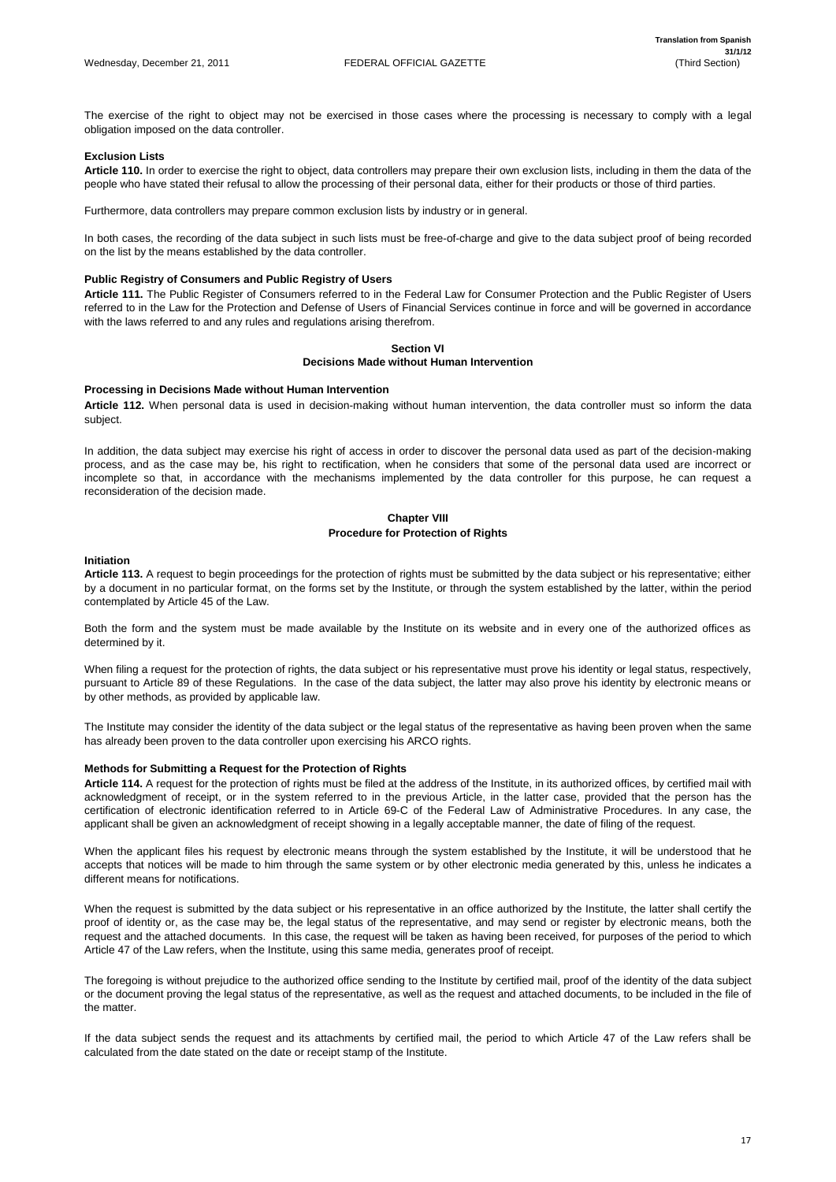The exercise of the right to object may not be exercised in those cases where the processing is necessary to comply with a legal obligation imposed on the data controller.

# **Exclusion Lists**

**Article 110.** In order to exercise the right to object, data controllers may prepare their own exclusion lists, including in them the data of the people who have stated their refusal to allow the processing of their personal data, either for their products or those of third parties.

Furthermore, data controllers may prepare common exclusion lists by industry or in general.

In both cases, the recording of the data subject in such lists must be free-of-charge and give to the data subject proof of being recorded on the list by the means established by the data controller.

# **Public Registry of Consumers and Public Registry of Users**

**Article 111.** The Public Register of Consumers referred to in the Federal Law for Consumer Protection and the Public Register of Users referred to in the Law for the Protection and Defense of Users of Financial Services continue in force and will be governed in accordance with the laws referred to and any rules and regulations arising therefrom.

# **Section VI Decisions Made without Human Intervention**

#### **Processing in Decisions Made without Human Intervention**

**Article 112.** When personal data is used in decision-making without human intervention, the data controller must so inform the data subject.

In addition, the data subject may exercise his right of access in order to discover the personal data used as part of the decision-making process, and as the case may be, his right to rectification, when he considers that some of the personal data used are incorrect or incomplete so that, in accordance with the mechanisms implemented by the data controller for this purpose, he can request a reconsideration of the decision made.

# **Chapter VIII Procedure for Protection of Rights**

#### **Initiation**

**Article 113.** A request to begin proceedings for the protection of rights must be submitted by the data subject or his representative; either by a document in no particular format, on the forms set by the Institute, or through the system established by the latter, within the period contemplated by Article 45 of the Law.

Both the form and the system must be made available by the Institute on its website and in every one of the authorized offices as determined by it.

When filing a request for the protection of rights, the data subject or his representative must prove his identity or legal status, respectively, pursuant to Article 89 of these Regulations. In the case of the data subject, the latter may also prove his identity by electronic means or by other methods, as provided by applicable law.

The Institute may consider the identity of the data subject or the legal status of the representative as having been proven when the same has already been proven to the data controller upon exercising his ARCO rights.

# **Methods for Submitting a Request for the Protection of Rights**

**Article 114.** A request for the protection of rights must be filed at the address of the Institute, in its authorized offices, by certified mail with acknowledgment of receipt, or in the system referred to in the previous Article, in the latter case, provided that the person has the certification of electronic identification referred to in Article 69-C of the Federal Law of Administrative Procedures. In any case, the applicant shall be given an acknowledgment of receipt showing in a legally acceptable manner, the date of filing of the request.

When the applicant files his request by electronic means through the system established by the Institute, it will be understood that he accepts that notices will be made to him through the same system or by other electronic media generated by this, unless he indicates a different means for notifications.

When the request is submitted by the data subject or his representative in an office authorized by the Institute, the latter shall certify the proof of identity or, as the case may be, the legal status of the representative, and may send or register by electronic means, both the request and the attached documents. In this case, the request will be taken as having been received, for purposes of the period to which Article 47 of the Law refers, when the Institute, using this same media, generates proof of receipt.

The foregoing is without prejudice to the authorized office sending to the Institute by certified mail, proof of the identity of the data subject or the document proving the legal status of the representative, as well as the request and attached documents, to be included in the file of the matter.

If the data subject sends the request and its attachments by certified mail, the period to which Article 47 of the Law refers shall be calculated from the date stated on the date or receipt stamp of the Institute.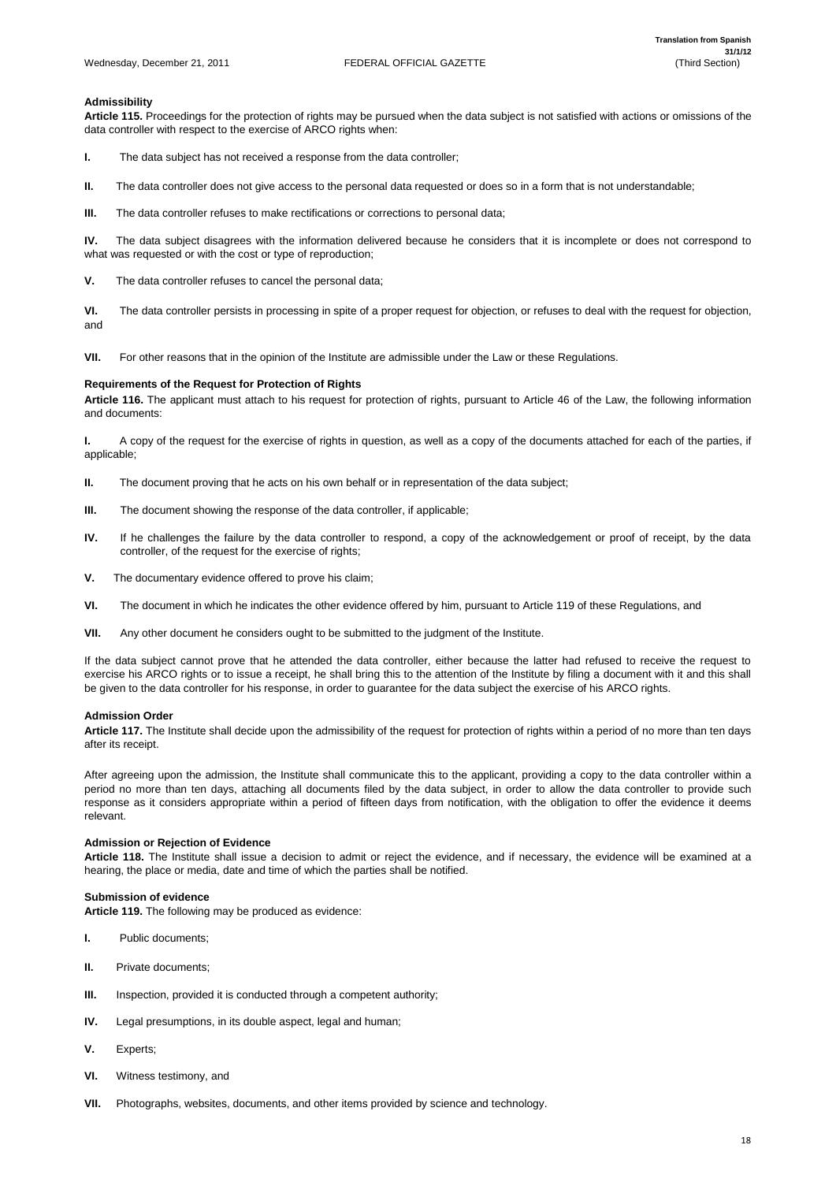# **Admissibility**

**Article 115.** Proceedings for the protection of rights may be pursued when the data subject is not satisfied with actions or omissions of the data controller with respect to the exercise of ARCO rights when:

**I.** The data subject has not received a response from the data controller;

**II.** The data controller does not give access to the personal data requested or does so in a form that is not understandable;

**III.** The data controller refuses to make rectifications or corrections to personal data;

**IV.** The data subject disagrees with the information delivered because he considers that it is incomplete or does not correspond to what was requested or with the cost or type of reproduction;

**V.** The data controller refuses to cancel the personal data;

**VI.** The data controller persists in processing in spite of a proper request for objection, or refuses to deal with the request for objection, and

- **II.** The document proving that he acts on his own behalf or in representation of the data subject;
- **III.** The document showing the response of the data controller, if applicable;
- **IV.** If he challenges the failure by the data controller to respond, a copy of the acknowledgement or proof of receipt, by the data controller, of the request for the exercise of rights;
- **V.** The documentary evidence offered to prove his claim;
- **VI.** The document in which he indicates the other evidence offered by him, pursuant to Article 119 of these Regulations, and
- **VII.** Any other document he considers ought to be submitted to the judgment of the Institute.

**VII.** For other reasons that in the opinion of the Institute are admissible under the Law or these Regulations.

# **Requirements of the Request for Protection of Rights**

**Article 116.** The applicant must attach to his request for protection of rights, pursuant to Article 46 of the Law, the following information and documents:

**I.** A copy of the request for the exercise of rights in question, as well as a copy of the documents attached for each of the parties, if applicable;

If the data subject cannot prove that he attended the data controller, either because the latter had refused to receive the request to exercise his ARCO rights or to issue a receipt, he shall bring this to the attention of the Institute by filing a document with it and this shall be given to the data controller for his response, in order to guarantee for the data subject the exercise of his ARCO rights.

# **Admission Order**

**Article 117.** The Institute shall decide upon the admissibility of the request for protection of rights within a period of no more than ten days after its receipt.

After agreeing upon the admission, the Institute shall communicate this to the applicant, providing a copy to the data controller within a period no more than ten days, attaching all documents filed by the data subject, in order to allow the data controller to provide such response as it considers appropriate within a period of fifteen days from notification, with the obligation to offer the evidence it deems relevant.

# **Admission or Rejection of Evidence**

**Article 118.** The Institute shall issue a decision to admit or reject the evidence, and if necessary, the evidence will be examined at a hearing, the place or media, date and time of which the parties shall be notified.

# **Submission of evidence Article 119.** The following may be produced as evidence:

- **I.** Public documents;
- **II.** Private documents;
- **III.** Inspection, provided it is conducted through a competent authority;
- **IV.** Legal presumptions, in its double aspect, legal and human;
- **V.** Experts;
- **VI.** Witness testimony, and
- **VII.** Photographs, websites, documents, and other items provided by science and technology.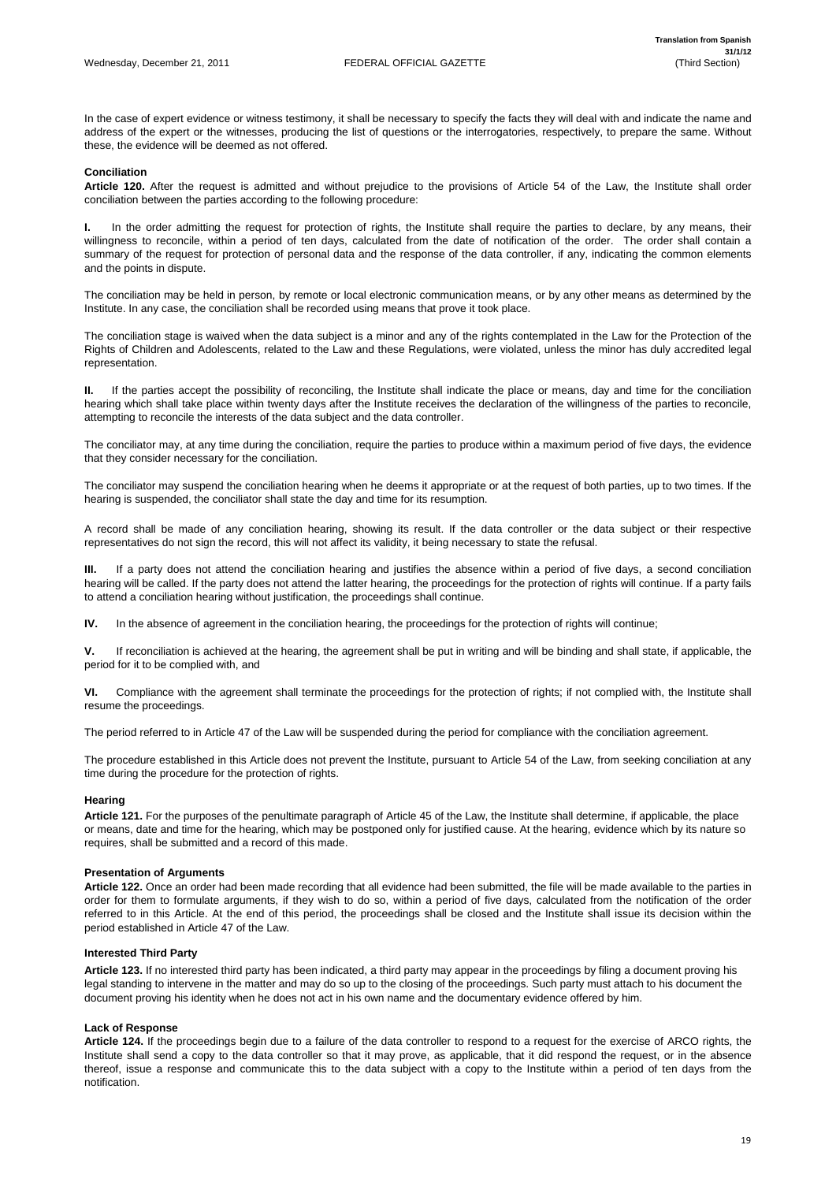In the case of expert evidence or witness testimony, it shall be necessary to specify the facts they will deal with and indicate the name and address of the expert or the witnesses, producing the list of questions or the interrogatories, respectively, to prepare the same. Without these, the evidence will be deemed as not offered.

# **Conciliation**

**Article 120.** After the request is admitted and without prejudice to the provisions of Article 54 of the Law, the Institute shall order conciliation between the parties according to the following procedure:

**I.** In the order admitting the request for protection of rights, the Institute shall require the parties to declare, by any means, their willingness to reconcile, within a period of ten days, calculated from the date of notification of the order. The order shall contain a summary of the request for protection of personal data and the response of the data controller, if any, indicating the common elements and the points in dispute.

The conciliation may be held in person, by remote or local electronic communication means, or by any other means as determined by the Institute. In any case, the conciliation shall be recorded using means that prove it took place.

The conciliation stage is waived when the data subject is a minor and any of the rights contemplated in the Law for the Protection of the Rights of Children and Adolescents, related to the Law and these Regulations, were violated, unless the minor has duly accredited legal representation.

**III.** If a party does not attend the conciliation hearing and justifies the absence within a period of five days, a second conciliation hearing will be called. If the party does not attend the latter hearing, the proceedings for the protection of rights will continue. If a party fails to attend a conciliation hearing without justification, the proceedings shall continue.

**II.** If the parties accept the possibility of reconciling, the Institute shall indicate the place or means, day and time for the conciliation hearing which shall take place within twenty days after the Institute receives the declaration of the willingness of the parties to reconcile, attempting to reconcile the interests of the data subject and the data controller.

The conciliator may, at any time during the conciliation, require the parties to produce within a maximum period of five days, the evidence that they consider necessary for the conciliation.

The conciliator may suspend the conciliation hearing when he deems it appropriate or at the request of both parties, up to two times. If the hearing is suspended, the conciliator shall state the day and time for its resumption.

A record shall be made of any conciliation hearing, showing its result. If the data controller or the data subject or their respective representatives do not sign the record, this will not affect its validity, it being necessary to state the refusal.

**IV.** In the absence of agreement in the conciliation hearing, the proceedings for the protection of rights will continue;

**V.** If reconciliation is achieved at the hearing, the agreement shall be put in writing and will be binding and shall state, if applicable, the period for it to be complied with, and

**VI.** Compliance with the agreement shall terminate the proceedings for the protection of rights; if not complied with, the Institute shall resume the proceedings.

The period referred to in Article 47 of the Law will be suspended during the period for compliance with the conciliation agreement.

The procedure established in this Article does not prevent the Institute, pursuant to Article 54 of the Law, from seeking conciliation at any time during the procedure for the protection of rights.

# **Hearing**

**Article 121.** For the purposes of the penultimate paragraph of Article 45 of the Law, the Institute shall determine, if applicable, the place or means, date and time for the hearing, which may be postponed only for justified cause. At the hearing, evidence which by its nature so requires, shall be submitted and a record of this made.

# **Presentation of Arguments**

**Article 122.** Once an order had been made recording that all evidence had been submitted, the file will be made available to the parties in

order for them to formulate arguments, if they wish to do so, within a period of five days, calculated from the notification of the order referred to in this Article. At the end of this period, the proceedings shall be closed and the Institute shall issue its decision within the period established in Article 47 of the Law.

#### **Interested Third Party**

**Article 123.** If no interested third party has been indicated, a third party may appear in the proceedings by filing a document proving his legal standing to intervene in the matter and may do so up to the closing of the proceedings. Such party must attach to his document the document proving his identity when he does not act in his own name and the documentary evidence offered by him.

#### **Lack of Response**

**Article 124.** If the proceedings begin due to a failure of the data controller to respond to a request for the exercise of ARCO rights, the Institute shall send a copy to the data controller so that it may prove, as applicable, that it did respond the request, or in the absence thereof, issue a response and communicate this to the data subject with a copy to the Institute within a period of ten days from the notification.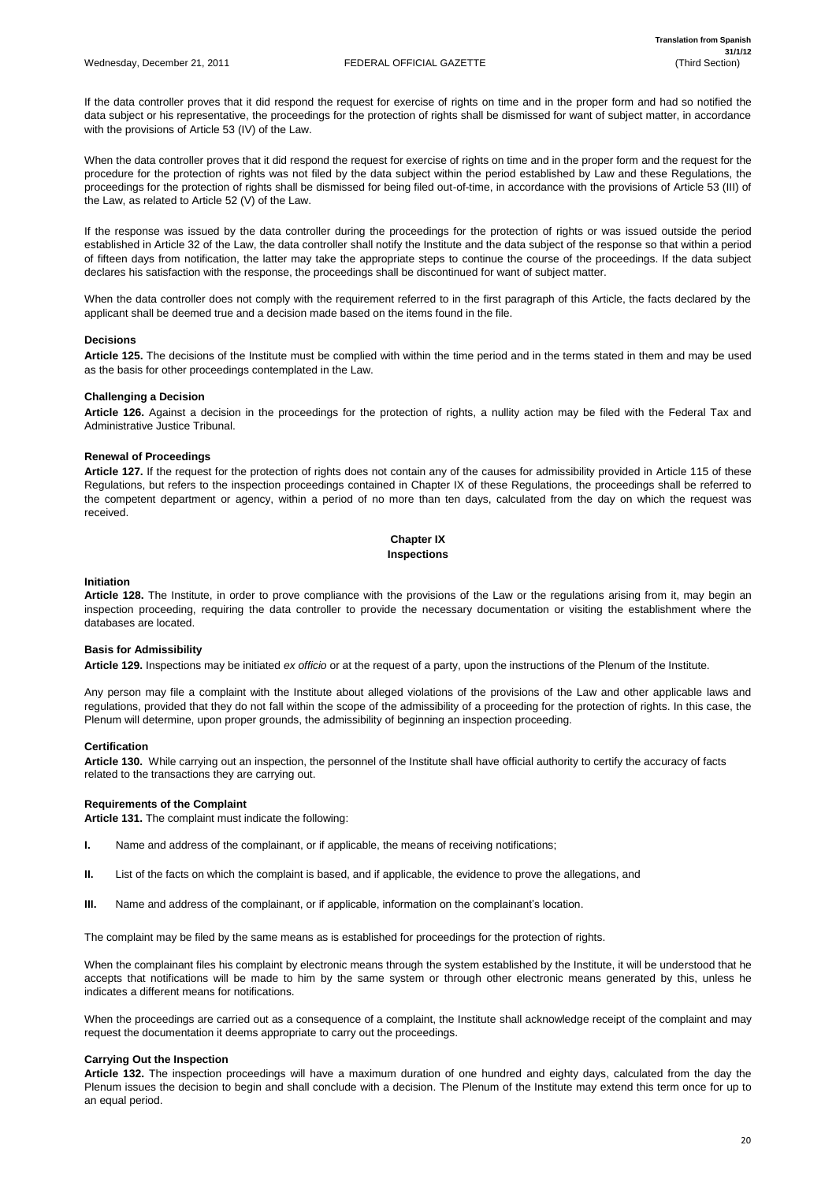If the data controller proves that it did respond the request for exercise of rights on time and in the proper form and had so notified the data subject or his representative, the proceedings for the protection of rights shall be dismissed for want of subject matter, in accordance with the provisions of Article 53 (IV) of the Law.

When the data controller proves that it did respond the request for exercise of rights on time and in the proper form and the request for the procedure for the protection of rights was not filed by the data subject within the period established by Law and these Regulations, the proceedings for the protection of rights shall be dismissed for being filed out-of-time, in accordance with the provisions of Article 53 (III) of the Law, as related to Article 52 (V) of the Law.

If the response was issued by the data controller during the proceedings for the protection of rights or was issued outside the period established in Article 32 of the Law, the data controller shall notify the Institute and the data subject of the response so that within a period of fifteen days from notification, the latter may take the appropriate steps to continue the course of the proceedings. If the data subject declares his satisfaction with the response, the proceedings shall be discontinued for want of subject matter.

When the data controller does not comply with the requirement referred to in the first paragraph of this Article, the facts declared by the applicant shall be deemed true and a decision made based on the items found in the file.

# **Decisions**

**Article 125.** The decisions of the Institute must be complied with within the time period and in the terms stated in them and may be used as the basis for other proceedings contemplated in the Law.

# **Challenging a Decision**

**Article 126.** Against a decision in the proceedings for the protection of rights, a nullity action may be filed with the Federal Tax and Administrative Justice Tribunal.

# **Renewal of Proceedings**

**Article 127.** If the request for the protection of rights does not contain any of the causes for admissibility provided in Article 115 of these Regulations, but refers to the inspection proceedings contained in Chapter IX of these Regulations, the proceedings shall be referred to the competent department or agency, within a period of no more than ten days, calculated from the day on which the request was received.

When the proceedings are carried out as a consequence of a complaint, the Institute shall acknowledge receipt of the complaint and may request the documentation it deems appropriate to carry out the proceedings.

# **Chapter IX Inspections**

#### **Initiation**

**Article 128.** The Institute, in order to prove compliance with the provisions of the Law or the regulations arising from it, may begin an inspection proceeding, requiring the data controller to provide the necessary documentation or visiting the establishment where the databases are located.

# **Basis for Admissibility**

**Article 129.** Inspections may be initiated *ex officio* or at the request of a party, upon the instructions of the Plenum of the Institute.

Any person may file a complaint with the Institute about alleged violations of the provisions of the Law and other applicable laws and regulations, provided that they do not fall within the scope of the admissibility of a proceeding for the protection of rights. In this case, the Plenum will determine, upon proper grounds, the admissibility of beginning an inspection proceeding.

#### **Certification**

**Article 130.** While carrying out an inspection, the personnel of the Institute shall have official authority to certify the accuracy of facts related to the transactions they are carrying out.

# **Requirements of the Complaint**

**Article 131.** The complaint must indicate the following:

- **I.** Name and address of the complainant, or if applicable, the means of receiving notifications;
- **II.** List of the facts on which the complaint is based, and if applicable, the evidence to prove the allegations, and

**III.** Name and address of the complainant, or if applicable, information on the complainant's location.

The complaint may be filed by the same means as is established for proceedings for the protection of rights.

When the complainant files his complaint by electronic means through the system established by the Institute, it will be understood that he accepts that notifications will be made to him by the same system or through other electronic means generated by this, unless he indicates a different means for notifications.

#### **Carrying Out the Inspection**

**Article 132.** The inspection proceedings will have a maximum duration of one hundred and eighty days, calculated from the day the Plenum issues the decision to begin and shall conclude with a decision. The Plenum of the Institute may extend this term once for up to an equal period.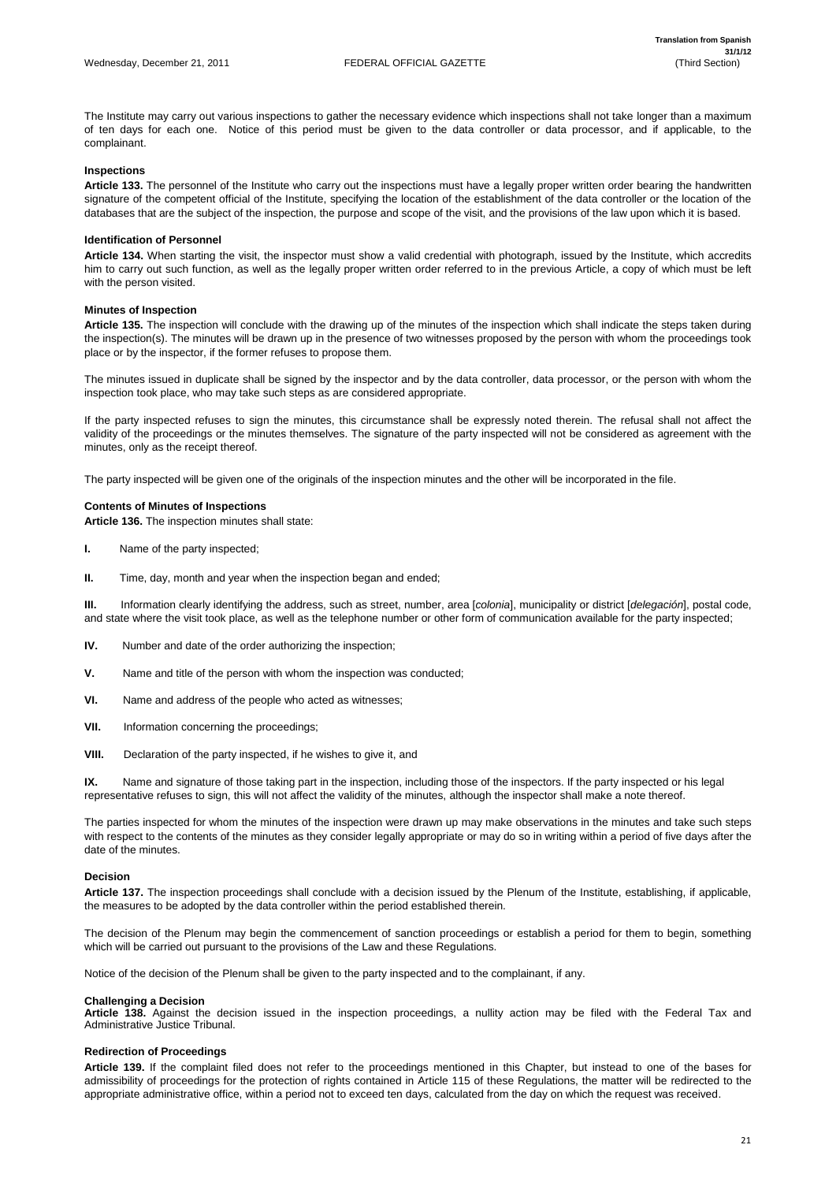The Institute may carry out various inspections to gather the necessary evidence which inspections shall not take longer than a maximum of ten days for each one. Notice of this period must be given to the data controller or data processor, and if applicable, to the complainant.

# **Inspections**

**Article 133.** The personnel of the Institute who carry out the inspections must have a legally proper written order bearing the handwritten signature of the competent official of the Institute, specifying the location of the establishment of the data controller or the location of the databases that are the subject of the inspection, the purpose and scope of the visit, and the provisions of the law upon which it is based.

# **Identification of Personnel**

**Article 134.** When starting the visit, the inspector must show a valid credential with photograph, issued by the Institute, which accredits him to carry out such function, as well as the legally proper written order referred to in the previous Article, a copy of which must be left with the person visited.

# **Minutes of Inspection**

**Article 135.** The inspection will conclude with the drawing up of the minutes of the inspection which shall indicate the steps taken during the inspection(s). The minutes will be drawn up in the presence of two witnesses proposed by the person with whom the proceedings took place or by the inspector, if the former refuses to propose them.

The minutes issued in duplicate shall be signed by the inspector and by the data controller, data processor, or the person with whom the inspection took place, who may take such steps as are considered appropriate.

If the party inspected refuses to sign the minutes, this circumstance shall be expressly noted therein. The refusal shall not affect the validity of the proceedings or the minutes themselves. The signature of the party inspected will not be considered as agreement with the minutes, only as the receipt thereof.

The party inspected will be given one of the originals of the inspection minutes and the other will be incorporated in the file.

# **Contents of Minutes of Inspections**

**Article 136.** The inspection minutes shall state:

- **I.** Name of the party inspected;
- **II.** Time, day, month and year when the inspection began and ended;

**III.** Information clearly identifying the address, such as street, number, area [*colonia*], municipality or district [*delegación*], postal code, and state where the visit took place, as well as the telephone number or other form of communication available for the party inspected;

- **IV.** Number and date of the order authorizing the inspection;
- **V.** Name and title of the person with whom the inspection was conducted;
- **VI.** Name and address of the people who acted as witnesses;
- **VII.** Information concerning the proceedings;
- **VIII.** Declaration of the party inspected, if he wishes to give it, and

**IX.** Name and signature of those taking part in the inspection, including those of the inspectors. If the party inspected or his legal representative refuses to sign, this will not affect the validity of the minutes, although the inspector shall make a note thereof.

The parties inspected for whom the minutes of the inspection were drawn up may make observations in the minutes and take such steps with respect to the contents of the minutes as they consider legally appropriate or may do so in writing within a period of five days after the date of the minutes.

# **Decision**

**Article 137.** The inspection proceedings shall conclude with a decision issued by the Plenum of the Institute, establishing, if applicable,

the measures to be adopted by the data controller within the period established therein.

The decision of the Plenum may begin the commencement of sanction proceedings or establish a period for them to begin, something which will be carried out pursuant to the provisions of the Law and these Regulations.

Notice of the decision of the Plenum shall be given to the party inspected and to the complainant, if any.

#### **Challenging a Decision**

**Article 138.** Against the decision issued in the inspection proceedings, a nullity action may be filed with the Federal Tax and Administrative Justice Tribunal.

# **Redirection of Proceedings**

**Article 139.** If the complaint filed does not refer to the proceedings mentioned in this Chapter, but instead to one of the bases for admissibility of proceedings for the protection of rights contained in Article 115 of these Regulations, the matter will be redirected to the appropriate administrative office, within a period not to exceed ten days, calculated from the day on which the request was received.